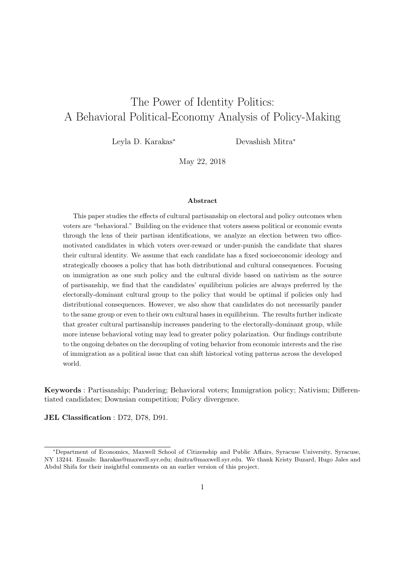# The Power of Identity Politics: A Behavioral Political-Economy Analysis of Policy-Making

Leyla D. Karakas<sup>∗</sup> Devashish Mitra<sup>∗</sup>

May 22, 2018

#### Abstract

This paper studies the effects of cultural partisanship on electoral and policy outcomes when voters are "behavioral." Building on the evidence that voters assess political or economic events through the lens of their partisan identifications, we analyze an election between two officemotivated candidates in which voters over-reward or under-punish the candidate that shares their cultural identity. We assume that each candidate has a fixed socioeconomic ideology and strategically chooses a policy that has both distributional and cultural consequences. Focusing on immigration as one such policy and the cultural divide based on nativism as the source of partisanship, we find that the candidates' equilibrium policies are always preferred by the electorally-dominant cultural group to the policy that would be optimal if policies only had distributional consequences. However, we also show that candidates do not necessarily pander to the same group or even to their own cultural bases in equilibrium. The results further indicate that greater cultural partisanship increases pandering to the electorally-dominant group, while more intense behavioral voting may lead to greater policy polarization. Our findings contribute to the ongoing debates on the decoupling of voting behavior from economic interests and the rise of immigration as a political issue that can shift historical voting patterns across the developed world.

Keywords : Partisanship; Pandering; Behavioral voters; Immigration policy; Nativism; Differentiated candidates; Downsian competition; Policy divergence.

JEL Classification : D72, D78, D91.

<sup>∗</sup>Department of Economics, Maxwell School of Citizenship and Public Affairs, Syracuse University, Syracuse, NY 13244. Emails: lkarakas@maxwell.syr.edu; dmitra@maxwell.syr.edu. We thank Kristy Buzard, Hugo Jales and Abdul Shifa for their insightful comments on an earlier version of this project.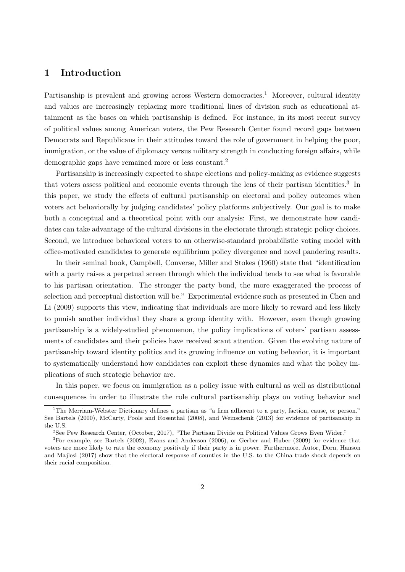# 1 Introduction

Partisanship is prevalent and growing across Western democracies.<sup>1</sup> Moreover, cultural identity and values are increasingly replacing more traditional lines of division such as educational attainment as the bases on which partisanship is defined. For instance, in its most recent survey of political values among American voters, the Pew Research Center found record gaps between Democrats and Republicans in their attitudes toward the role of government in helping the poor, immigration, or the value of diplomacy versus military strength in conducting foreign affairs, while demographic gaps have remained more or less constant.<sup>2</sup>

Partisanship is increasingly expected to shape elections and policy-making as evidence suggests that voters assess political and economic events through the lens of their partisan identities.<sup>3</sup> In this paper, we study the effects of cultural partisanship on electoral and policy outcomes when voters act behaviorally by judging candidates' policy platforms subjectively. Our goal is to make both a conceptual and a theoretical point with our analysis: First, we demonstrate how candidates can take advantage of the cultural divisions in the electorate through strategic policy choices. Second, we introduce behavioral voters to an otherwise-standard probabilistic voting model with office-motivated candidates to generate equilibrium policy divergence and novel pandering results.

In their seminal book, Campbell, Converse, Miller and Stokes (1960) state that "identification with a party raises a perpetual screen through which the individual tends to see what is favorable to his partisan orientation. The stronger the party bond, the more exaggerated the process of selection and perceptual distortion will be." Experimental evidence such as presented in Chen and Li (2009) supports this view, indicating that individuals are more likely to reward and less likely to punish another individual they share a group identity with. However, even though growing partisanship is a widely-studied phenomenon, the policy implications of voters' partisan assessments of candidates and their policies have received scant attention. Given the evolving nature of partisanship toward identity politics and its growing influence on voting behavior, it is important to systematically understand how candidates can exploit these dynamics and what the policy implications of such strategic behavior are.

In this paper, we focus on immigration as a policy issue with cultural as well as distributional consequences in order to illustrate the role cultural partisanship plays on voting behavior and

<sup>1</sup>The Merriam-Webster Dictionary defines a partisan as "a firm adherent to a party, faction, cause, or person." See Bartels (2000), McCarty, Poole and Rosenthal (2008), and Weinschenk (2013) for evidence of partisanship in the U.S.

<sup>2</sup>See Pew Research Center, (October, 2017), "The Partisan Divide on Political Values Grows Even Wider."

<sup>3</sup>For example, see Bartels (2002), Evans and Anderson (2006), or Gerber and Huber (2009) for evidence that voters are more likely to rate the economy positively if their party is in power. Furthermore, Autor, Dorn, Hanson and Majlesi (2017) show that the electoral response of counties in the U.S. to the China trade shock depends on their racial composition.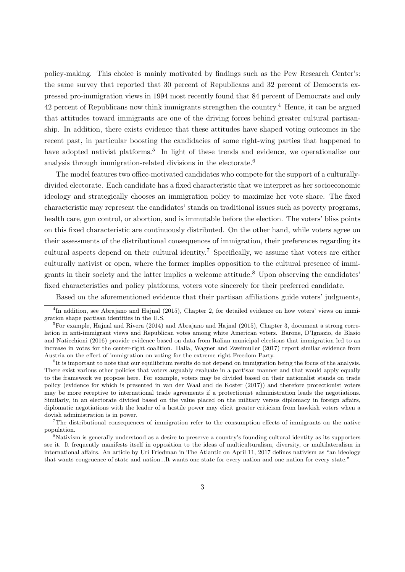policy-making. This choice is mainly motivated by findings such as the Pew Research Center's: the same survey that reported that 30 percent of Republicans and 32 percent of Democrats expressed pro-immigration views in 1994 most recently found that 84 percent of Democrats and only 42 percent of Republicans now think immigrants strengthen the country.<sup>4</sup> Hence, it can be argued that attitudes toward immigrants are one of the driving forces behind greater cultural partisanship. In addition, there exists evidence that these attitudes have shaped voting outcomes in the recent past, in particular boosting the candidacies of some right-wing parties that happened to have adopted nativist platforms.<sup>5</sup> In light of these trends and evidence, we operationalize our analysis through immigration-related divisions in the electorate.<sup>6</sup>

The model features two office-motivated candidates who compete for the support of a culturallydivided electorate. Each candidate has a fixed characteristic that we interpret as her socioeconomic ideology and strategically chooses an immigration policy to maximize her vote share. The fixed characteristic may represent the candidates' stands on traditional issues such as poverty programs, health care, gun control, or abortion, and is immutable before the election. The voters' bliss points on this fixed characteristic are continuously distributed. On the other hand, while voters agree on their assessments of the distributional consequences of immigration, their preferences regarding its cultural aspects depend on their cultural identity.<sup>7</sup> Specifically, we assume that voters are either culturally nativist or open, where the former implies opposition to the cultural presence of immigrants in their society and the latter implies a welcome attitude.<sup>8</sup> Upon observing the candidates' fixed characteristics and policy platforms, voters vote sincerely for their preferred candidate.

Based on the aforementioned evidence that their partisan affiliations guide voters' judgments,

<sup>7</sup>The distributional consequences of immigration refer to the consumption effects of immigrants on the native population.

<sup>&</sup>lt;sup>4</sup>In addition, see Abrajano and Hajnal (2015), Chapter 2, for detailed evidence on how voters' views on immigration shape partisan identities in the U.S.

 ${}^{5}$ For example, Hajnal and Rivera (2014) and Abrajano and Hajnal (2015), Chapter 3, document a strong correlation in anti-immigrant views and Republican votes among white American voters. Barone, D'Ignazio, de Blasio and Naticchioni (2016) provide evidence based on data from Italian municipal elections that immigration led to an increase in votes for the center-right coalition. Halla, Wagner and Zweimuller (2017) report similar evidence from Austria on the effect of immigration on voting for the extreme right Freedom Party.

<sup>6</sup> It is important to note that our equilibrium results do not depend on immigration being the focus of the analysis. There exist various other policies that voters arguably evaluate in a partisan manner and that would apply equally to the framework we propose here. For example, voters may be divided based on their nationalist stands on trade policy (evidence for which is presented in van der Waal and de Koster (2017)) and therefore protectionist voters may be more receptive to international trade agreements if a protectionist administration leads the negotiations. Similarly, in an electorate divided based on the value placed on the military versus diplomacy in foreign affairs, diplomatic negotiations with the leader of a hostile power may elicit greater criticism from hawkish voters when a dovish administration is in power.

<sup>8</sup>Nativism is generally understood as a desire to preserve a country's founding cultural identity as its supporters see it. It frequently manifests itself in opposition to the ideas of multiculturalism, diversity, or multilateralism in international affairs. An article by Uri Friedman in The Atlantic on April 11, 2017 defines nativism as "an ideology that wants congruence of state and nation...It wants one state for every nation and one nation for every state."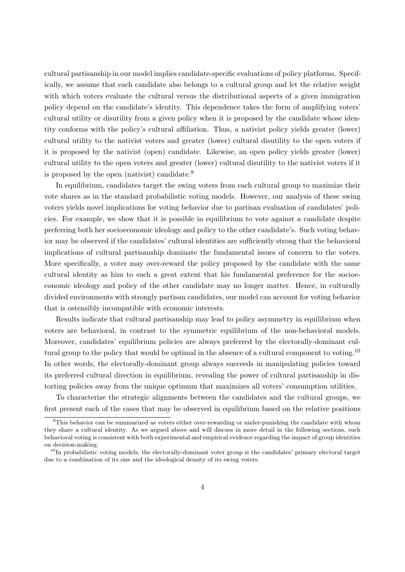cultural partisanship in our model implies candidate-specific evaluations of policy platforms. Specifically, we assume that each candidate also belongs to a cultural group and let the relative weight with which voters evaluate the cultural versus the distributional aspects of a given immigration policy depend on the candidate's identity. This dependence takes the form of amplifying voters' cultural utility or disutility from a given policy when it is proposed by the candidate whose identity conforms with the policy's cultural affiliation. Thus, a nativist policy yields greater (lower) cultural utility to the nativist voters and greater (lower) cultural disutility to the open voters if it is proposed by the nativist (open) candidate. Likewise, an open policy yields greater (lower) cultural utility to the open voters and greater (lower) cultural disutility to the nativist voters if it is proposed by the open (nativist) candidate.<sup>9</sup>

In equilibrium, candidates target the swing voters from each cultural group to maximize their vote shares as in the standard probabilistic voting models. However, our analysis of these swing voters yields novel implications for voting behavior due to partisan evaluation of candidates' policies. For example, we show that it is possible in equilibrium to vote against a candidate despite preferring both her socioeconomic ideology and policy to the other candidate's. Such voting behavior may be observed if the candidates' cultural identities are sufficiently strong that the behavioral implications of cultural partisanship dominate the fundamental issues of concern to the voters. More specifically, a voter may over-reward the policy proposed by the candidate with the same cultural identity as him to such a great extent that his fundamental preference for the socioeconomic ideology and policy of the other candidate may no longer matter. Hence, in culturally divided environments with strongly partisan candidates, our model can account for voting behavior that is ostensibly incompatible with economic interests.

Results indicate that cultural partisanship may lead to policy asymmetry in equilibrium when voters are behavioral, in contrast to the symmetric equilibrium of the non-behavioral models. Moreover, candidates' equilibrium policies are always preferred by the electorally-dominant cultural group to the policy that would be optimal in the absence of a cultural component to voting.<sup>10</sup> In other words, the electorally-dominant group always succeeds in manipulating policies toward its preferred cultural direction in equilibrium, revealing the power of cultural partisanship in distorting policies away from the unique optimum that maximizes all voters' consumption utilities.

To characterize the strategic alignments between the candidates and the cultural groups, we first present each of the cases that may be observed in equilibrium based on the relative positions

<sup>&</sup>lt;sup>9</sup>This behavior can be summarized as voters either over-rewarding or under-punishing the candidate with whom they share a cultural identity. As we argued above and will discuss in more detail in the following sections, such behavioral voting is consistent with both experimental and empirical evidence regarding the impact of group identities on decision-making.

 $10$ In probabilistic voting models, the electorally-dominant voter group is the candidates' primary electoral target due to a combination of its size and the ideological density of its swing voters.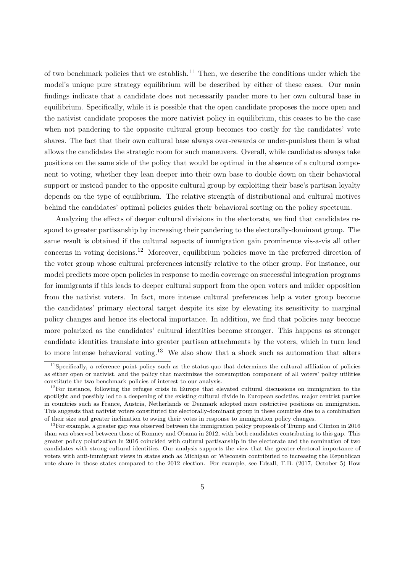of two benchmark policies that we establish.<sup>11</sup> Then, we describe the conditions under which the model's unique pure strategy equilibrium will be described by either of these cases. Our main findings indicate that a candidate does not necessarily pander more to her own cultural base in equilibrium. Specifically, while it is possible that the open candidate proposes the more open and the nativist candidate proposes the more nativist policy in equilibrium, this ceases to be the case when not pandering to the opposite cultural group becomes too costly for the candidates' vote shares. The fact that their own cultural base always over-rewards or under-punishes them is what allows the candidates the strategic room for such maneuvers. Overall, while candidates always take positions on the same side of the policy that would be optimal in the absence of a cultural component to voting, whether they lean deeper into their own base to double down on their behavioral support or instead pander to the opposite cultural group by exploiting their base's partisan loyalty depends on the type of equilibrium. The relative strength of distributional and cultural motives behind the candidates' optimal policies guides their behavioral sorting on the policy spectrum.

Analyzing the effects of deeper cultural divisions in the electorate, we find that candidates respond to greater partisanship by increasing their pandering to the electorally-dominant group. The same result is obtained if the cultural aspects of immigration gain prominence vis-a-vis all other concerns in voting decisions.<sup>12</sup> Moreover, equilibrium policies move in the preferred direction of the voter group whose cultural preferences intensify relative to the other group. For instance, our model predicts more open policies in response to media coverage on successful integration programs for immigrants if this leads to deeper cultural support from the open voters and milder opposition from the nativist voters. In fact, more intense cultural preferences help a voter group become the candidates' primary electoral target despite its size by elevating its sensitivity to marginal policy changes and hence its electoral importance. In addition, we find that policies may become more polarized as the candidates' cultural identities become stronger. This happens as stronger candidate identities translate into greater partisan attachments by the voters, which in turn lead to more intense behavioral voting.<sup>13</sup> We also show that a shock such as automation that alters

 $11$ Specifically, a reference point policy such as the status-quo that determines the cultural affiliation of policies as either open or nativist, and the policy that maximizes the consumption component of all voters' policy utilities constitute the two benchmark policies of interest to our analysis.

 $12$ For instance, following the refugee crisis in Europe that elevated cultural discussions on immigration to the spotlight and possibly led to a deepening of the existing cultural divide in European societies, major centrist parties in countries such as France, Austria, Netherlands or Denmark adopted more restrictive positions on immigration. This suggests that nativist voters constituted the electorally-dominant group in these countries due to a combination of their size and greater inclination to swing their votes in response to immigration policy changes.

<sup>&</sup>lt;sup>13</sup>For example, a greater gap was observed between the immigration policy proposals of Trump and Clinton in 2016 than was observed between those of Romney and Obama in 2012, with both candidates contributing to this gap. This greater policy polarization in 2016 coincided with cultural partisanship in the electorate and the nomination of two candidates with strong cultural identities. Our analysis supports the view that the greater electoral importance of voters with anti-immigrant views in states such as Michigan or Wisconsin contributed to increasing the Republican vote share in those states compared to the 2012 election. For example, see Edsall, T.B. (2017, October 5) How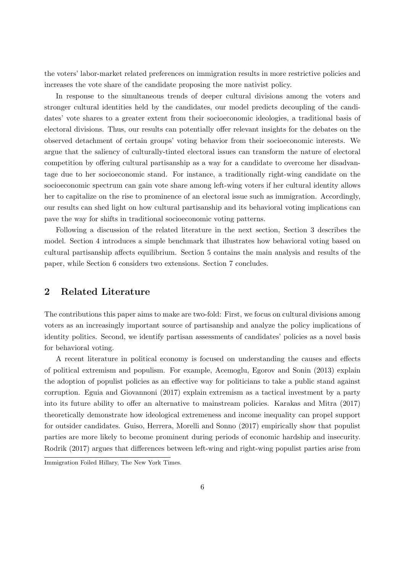the voters' labor-market related preferences on immigration results in more restrictive policies and increases the vote share of the candidate proposing the more nativist policy.

In response to the simultaneous trends of deeper cultural divisions among the voters and stronger cultural identities held by the candidates, our model predicts decoupling of the candidates' vote shares to a greater extent from their socioeconomic ideologies, a traditional basis of electoral divisions. Thus, our results can potentially offer relevant insights for the debates on the observed detachment of certain groups' voting behavior from their socioeconomic interests. We argue that the saliency of culturally-tinted electoral issues can transform the nature of electoral competition by offering cultural partisanship as a way for a candidate to overcome her disadvantage due to her socioeconomic stand. For instance, a traditionally right-wing candidate on the socioeconomic spectrum can gain vote share among left-wing voters if her cultural identity allows her to capitalize on the rise to prominence of an electoral issue such as immigration. Accordingly, our results can shed light on how cultural partisanship and its behavioral voting implications can pave the way for shifts in traditional socioeconomic voting patterns.

Following a discussion of the related literature in the next section, Section 3 describes the model. Section 4 introduces a simple benchmark that illustrates how behavioral voting based on cultural partisanship affects equilibrium. Section 5 contains the main analysis and results of the paper, while Section 6 considers two extensions. Section 7 concludes.

### 2 Related Literature

The contributions this paper aims to make are two-fold: First, we focus on cultural divisions among voters as an increasingly important source of partisanship and analyze the policy implications of identity politics. Second, we identify partisan assessments of candidates' policies as a novel basis for behavioral voting.

A recent literature in political economy is focused on understanding the causes and effects of political extremism and populism. For example, Acemoglu, Egorov and Sonin (2013) explain the adoption of populist policies as an effective way for politicians to take a public stand against corruption. Eguia and Giovannoni (2017) explain extremism as a tactical investment by a party into its future ability to offer an alternative to mainstream policies. Karakas and Mitra (2017) theoretically demonstrate how ideological extremeness and income inequality can propel support for outsider candidates. Guiso, Herrera, Morelli and Sonno (2017) empirically show that populist parties are more likely to become prominent during periods of economic hardship and insecurity. Rodrik (2017) argues that differences between left-wing and right-wing populist parties arise from

Immigration Foiled Hillary, The New York Times.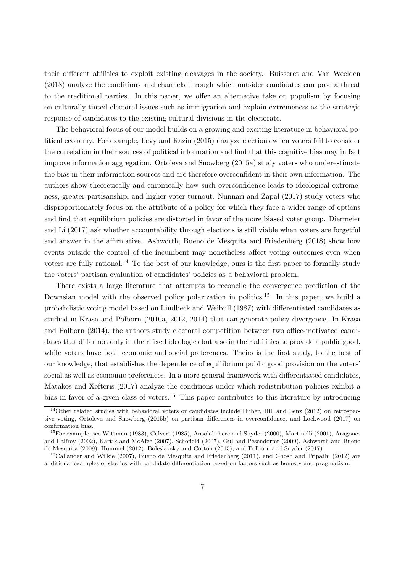their different abilities to exploit existing cleavages in the society. Buisseret and Van Weelden (2018) analyze the conditions and channels through which outsider candidates can pose a threat to the traditional parties. In this paper, we offer an alternative take on populism by focusing on culturally-tinted electoral issues such as immigration and explain extremeness as the strategic response of candidates to the existing cultural divisions in the electorate.

The behavioral focus of our model builds on a growing and exciting literature in behavioral political economy. For example, Levy and Razin (2015) analyze elections when voters fail to consider the correlation in their sources of political information and find that this cognitive bias may in fact improve information aggregation. Ortoleva and Snowberg (2015a) study voters who underestimate the bias in their information sources and are therefore overconfident in their own information. The authors show theoretically and empirically how such overconfidence leads to ideological extremeness, greater partisanship, and higher voter turnout. Nunnari and Zapal (2017) study voters who disproportionately focus on the attribute of a policy for which they face a wider range of options and find that equilibrium policies are distorted in favor of the more biased voter group. Diermeier and Li (2017) ask whether accountability through elections is still viable when voters are forgetful and answer in the affirmative. Ashworth, Bueno de Mesquita and Friedenberg (2018) show how events outside the control of the incumbent may nonetheless affect voting outcomes even when voters are fully rational.<sup>14</sup> To the best of our knowledge, ours is the first paper to formally study the voters' partisan evaluation of candidates' policies as a behavioral problem.

There exists a large literature that attempts to reconcile the convergence prediction of the Downsian model with the observed policy polarization in politics.<sup>15</sup> In this paper, we build a probabilistic voting model based on Lindbeck and Weibull (1987) with differentiated candidates as studied in Krasa and Polborn (2010a, 2012, 2014) that can generate policy divergence. In Krasa and Polborn (2014), the authors study electoral competition between two office-motivated candidates that differ not only in their fixed ideologies but also in their abilities to provide a public good, while voters have both economic and social preferences. Theirs is the first study, to the best of our knowledge, that establishes the dependence of equilibrium public good provision on the voters' social as well as economic preferences. In a more general framework with differentiated candidates, Matakos and Xefteris (2017) analyze the conditions under which redistribution policies exhibit a bias in favor of a given class of voters.<sup>16</sup> This paper contributes to this literature by introducing

<sup>&</sup>lt;sup>14</sup>Other related studies with behavioral voters or candidates include Huber, Hill and Lenz (2012) on retrospective voting, Ortoleva and Snowberg (2015b) on partisan differences in overconfidence, and Lockwood (2017) on confirmation bias.

<sup>15</sup>For example, see Wittman (1983), Calvert (1985), Ansolabehere and Snyder (2000), Martinelli (2001), Aragones and Palfrey (2002), Kartik and McAfee (2007), Schofield (2007), Gul and Pesendorfer (2009), Ashworth and Bueno de Mesquita (2009), Hummel (2012), Boleslavsky and Cotton (2015), and Polborn and Snyder (2017).

 $16$ Callander and Wilkie (2007), Bueno de Mesquita and Friedenberg (2011), and Ghosh and Tripathi (2012) are additional examples of studies with candidate differentiation based on factors such as honesty and pragmatism.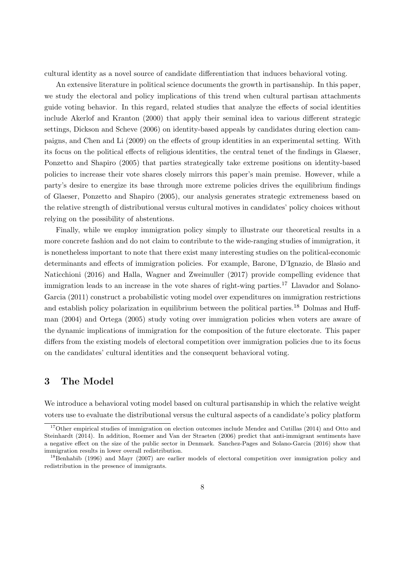cultural identity as a novel source of candidate differentiation that induces behavioral voting.

An extensive literature in political science documents the growth in partisanship. In this paper, we study the electoral and policy implications of this trend when cultural partisan attachments guide voting behavior. In this regard, related studies that analyze the effects of social identities include Akerlof and Kranton (2000) that apply their seminal idea to various different strategic settings, Dickson and Scheve (2006) on identity-based appeals by candidates during election campaigns, and Chen and Li (2009) on the effects of group identities in an experimental setting. With its focus on the political effects of religious identities, the central tenet of the findings in Glaeser, Ponzetto and Shapiro (2005) that parties strategically take extreme positions on identity-based policies to increase their vote shares closely mirrors this paper's main premise. However, while a party's desire to energize its base through more extreme policies drives the equilibrium findings of Glaeser, Ponzetto and Shapiro (2005), our analysis generates strategic extremeness based on the relative strength of distributional versus cultural motives in candidates' policy choices without relying on the possibility of abstentions.

Finally, while we employ immigration policy simply to illustrate our theoretical results in a more concrete fashion and do not claim to contribute to the wide-ranging studies of immigration, it is nonetheless important to note that there exist many interesting studies on the political-economic determinants and effects of immigration policies. For example, Barone, D'Ignazio, de Blasio and Naticchioni (2016) and Halla, Wagner and Zweimuller (2017) provide compelling evidence that immigration leads to an increase in the vote shares of right-wing parties.<sup>17</sup> Llavador and Solano-Garcia (2011) construct a probabilistic voting model over expenditures on immigration restrictions and establish policy polarization in equilibrium between the political parties.<sup>18</sup> Dolmas and Huffman (2004) and Ortega (2005) study voting over immigration policies when voters are aware of the dynamic implications of immigration for the composition of the future electorate. This paper differs from the existing models of electoral competition over immigration policies due to its focus on the candidates' cultural identities and the consequent behavioral voting.

### 3 The Model

We introduce a behavioral voting model based on cultural partisanship in which the relative weight voters use to evaluate the distributional versus the cultural aspects of a candidate's policy platform

<sup>&</sup>lt;sup>17</sup>Other empirical studies of immigration on election outcomes include Mendez and Cutillas (2014) and Otto and Steinhardt (2014). In addition, Roemer and Van der Straeten (2006) predict that anti-immigrant sentiments have a negative effect on the size of the public sector in Denmark. Sanchez-Pages and Solano-Garcia (2016) show that immigration results in lower overall redistribution.

<sup>&</sup>lt;sup>18</sup>Benhabib (1996) and Mayr (2007) are earlier models of electoral competition over immigration policy and redistribution in the presence of immigrants.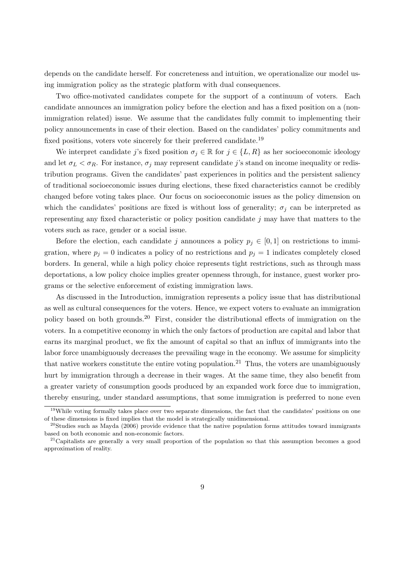depends on the candidate herself. For concreteness and intuition, we operationalize our model using immigration policy as the strategic platform with dual consequences.

Two office-motivated candidates compete for the support of a continuum of voters. Each candidate announces an immigration policy before the election and has a fixed position on a (nonimmigration related) issue. We assume that the candidates fully commit to implementing their policy announcements in case of their election. Based on the candidates' policy commitments and fixed positions, voters vote sincerely for their preferred candidate.<sup>19</sup>

We interpret candidate j's fixed position  $\sigma_j \in \mathbb{R}$  for  $j \in \{L, R\}$  as her socioeconomic ideology and let  $\sigma_L < \sigma_R$ . For instance,  $\sigma_i$  may represent candidate j's stand on income inequality or redistribution programs. Given the candidates' past experiences in politics and the persistent saliency of traditional socioeconomic issues during elections, these fixed characteristics cannot be credibly changed before voting takes place. Our focus on socioeconomic issues as the policy dimension on which the candidates' positions are fixed is without loss of generality;  $\sigma_i$  can be interpreted as representing any fixed characteristic or policy position candidate j may have that matters to the voters such as race, gender or a social issue.

Before the election, each candidate j announces a policy  $p_i \in [0,1]$  on restrictions to immigration, where  $p_i = 0$  indicates a policy of no restrictions and  $p_i = 1$  indicates completely closed borders. In general, while a high policy choice represents tight restrictions, such as through mass deportations, a low policy choice implies greater openness through, for instance, guest worker programs or the selective enforcement of existing immigration laws.

As discussed in the Introduction, immigration represents a policy issue that has distributional as well as cultural consequences for the voters. Hence, we expect voters to evaluate an immigration policy based on both grounds.<sup>20</sup> First, consider the distributional effects of immigration on the voters. In a competitive economy in which the only factors of production are capital and labor that earns its marginal product, we fix the amount of capital so that an influx of immigrants into the labor force unambiguously decreases the prevailing wage in the economy. We assume for simplicity that native workers constitute the entire voting population.<sup>21</sup> Thus, the voters are unambiguously hurt by immigration through a decrease in their wages. At the same time, they also benefit from a greater variety of consumption goods produced by an expanded work force due to immigration, thereby ensuring, under standard assumptions, that some immigration is preferred to none even

<sup>&</sup>lt;sup>19</sup>While voting formally takes place over two separate dimensions, the fact that the candidates' positions on one of these dimensions is fixed implies that the model is strategically unidimensional.

 $20$ Studies such as Mayda (2006) provide evidence that the native population forms attitudes toward immigrants based on both economic and non-economic factors.

<sup>&</sup>lt;sup>21</sup>Capitalists are generally a very small proportion of the population so that this assumption becomes a good approximation of reality.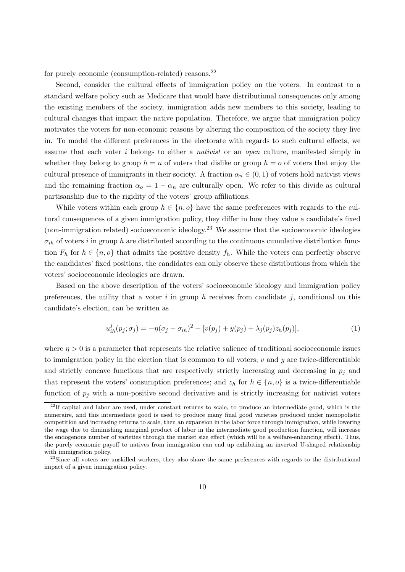for purely economic (consumption-related) reasons. $^{22}$ 

Second, consider the cultural effects of immigration policy on the voters. In contrast to a standard welfare policy such as Medicare that would have distributional consequences only among the existing members of the society, immigration adds new members to this society, leading to cultural changes that impact the native population. Therefore, we argue that immigration policy motivates the voters for non-economic reasons by altering the composition of the society they live in. To model the different preferences in the electorate with regards to such cultural effects, we assume that each voter  $i$  belongs to either a *nativist* or an *open* culture, manifested simply in whether they belong to group  $h = n$  of voters that dislike or group  $h = o$  of voters that enjoy the cultural presence of immigrants in their society. A fraction  $\alpha_n \in (0,1)$  of voters hold nativist views and the remaining fraction  $\alpha_o = 1 - \alpha_n$  are culturally open. We refer to this divide as cultural partisanship due to the rigidity of the voters' group affiliations.

While voters within each group  $h \in \{n, o\}$  have the same preferences with regards to the cultural consequences of a given immigration policy, they differ in how they value a candidate's fixed (non-immigration related) socioeconomic ideology.<sup>23</sup> We assume that the socioeconomic ideologies  $\sigma_{ih}$  of voters i in group h are distributed according to the continuous cumulative distribution function  $F_h$  for  $h \in \{n, o\}$  that admits the positive density  $f_h$ . While the voters can perfectly observe the candidates' fixed positions, the candidates can only observe these distributions from which the voters' socioeconomic ideologies are drawn.

Based on the above description of the voters' socioeconomic ideology and immigration policy preferences, the utility that a voter i in group h receives from candidate j, conditional on this candidate's election, can be written as

$$
u_{ih}^{j}(p_{j};\sigma_{j}) = -\eta(\sigma_{j}-\sigma_{ih})^{2} + [v(p_{j})+y(p_{j})+\lambda_{j}(p_{j})z_{h}(p_{j})],
$$
\n(1)

where  $\eta > 0$  is a parameter that represents the relative salience of traditional socioeconomic issues to immigration policy in the election that is common to all voters;  $v$  and  $y$  are twice-differentiable and strictly concave functions that are respectively strictly increasing and decreasing in  $p_j$  and that represent the voters' consumption preferences; and  $z_h$  for  $h \in \{n, o\}$  is a twice-differentiable function of  $p_j$  with a non-positive second derivative and is strictly increasing for nativist voters

 $22$ If capital and labor are used, under constant returns to scale, to produce an intermediate good, which is the numeraire, and this intermediate good is used to produce many final good varieties produced under monopolistic competition and increasing returns to scale, then an expansion in the labor force through immigration, while lowering the wage due to diminishing marginal product of labor in the intermediate good production function, will increase the endogenous number of varieties through the market size effect (which will be a welfare-enhancing effect). Thus, the purely economic payoff to natives from immigration can end up exhibiting an inverted U-shaped relationship with immigration policy.

<sup>&</sup>lt;sup>23</sup>Since all voters are unskilled workers, they also share the same preferences with regards to the distributional impact of a given immigration policy.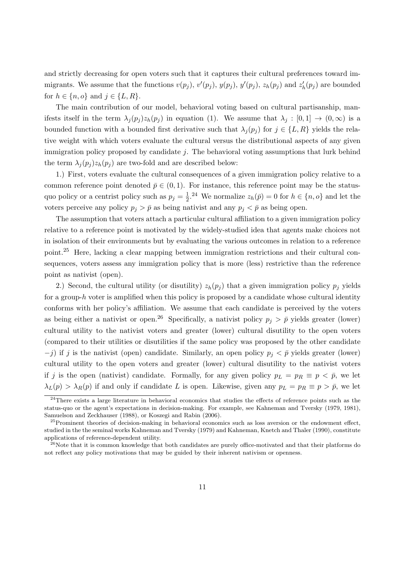and strictly decreasing for open voters such that it captures their cultural preferences toward immigrants. We assume that the functions  $v(p_j)$ ,  $v'(p_j)$ ,  $y(p_j)$ ,  $y'(p_j)$ ,  $z_h(p_j)$  and  $z'_h(p_j)$  are bounded for  $h \in \{n, o\}$  and  $j \in \{L, R\}.$ 

The main contribution of our model, behavioral voting based on cultural partisanship, manifests itself in the term  $\lambda_j(p_j)z_h(p_j)$  in equation (1). We assume that  $\lambda_j : [0,1] \to (0,\infty)$  is a bounded function with a bounded first derivative such that  $\lambda_j(p_j)$  for  $j \in \{L, R\}$  yields the relative weight with which voters evaluate the cultural versus the distributional aspects of any given immigration policy proposed by candidate  $j$ . The behavioral voting assumptions that lurk behind the term  $\lambda_i(p_i)z_h(p_i)$  are two-fold and are described below:

1.) First, voters evaluate the cultural consequences of a given immigration policy relative to a common reference point denoted  $\bar{p} \in (0, 1)$ . For instance, this reference point may be the statusquo policy or a centrist policy such as  $p_j = \frac{1}{2}$  $\frac{1}{2}$ <sup>24</sup> We normalize  $z_h(\bar{p}) = 0$  for  $h \in \{n, o\}$  and let the voters perceive any policy  $p_j > \bar{p}$  as being nativist and any  $p_j < \bar{p}$  as being open.

The assumption that voters attach a particular cultural affiliation to a given immigration policy relative to a reference point is motivated by the widely-studied idea that agents make choices not in isolation of their environments but by evaluating the various outcomes in relation to a reference point.<sup>25</sup> Here, lacking a clear mapping between immigration restrictions and their cultural consequences, voters assess any immigration policy that is more (less) restrictive than the reference point as nativist (open).

2.) Second, the cultural utility (or disutility)  $z_h(p_i)$  that a given immigration policy  $p_i$  yields for a group-h voter is amplified when this policy is proposed by a candidate whose cultural identity conforms with her policy's affiliation. We assume that each candidate is perceived by the voters as being either a nativist or open.<sup>26</sup> Specifically, a nativist policy  $p_j > \bar{p}$  yields greater (lower) cultural utility to the nativist voters and greater (lower) cultural disutility to the open voters (compared to their utilities or disutilities if the same policy was proposed by the other candidate  $-j$ ) if j is the nativist (open) candidate. Similarly, an open policy  $p_j < \bar{p}$  yields greater (lower) cultural utility to the open voters and greater (lower) cultural disutility to the nativist voters if j is the open (nativist) candidate. Formally, for any given policy  $p_L = p_R \equiv p \langle \bar{p}$ , we let  $\lambda_L(p) > \lambda_R(p)$  if and only if candidate L is open. Likewise, given any  $p_L = p_R \equiv p > \bar{p}$ , we let

 $^{24}$ There exists a large literature in behavioral economics that studies the effects of reference points such as the status-quo or the agent's expectations in decision-making. For example, see Kahneman and Tversky (1979, 1981), Samuelson and Zeckhauser (1988), or Koszegi and Rabin (2006).

 $^{25}$ Prominent theories of decision-making in behavioral economics such as loss aversion or the endowment effect, studied in the the seminal works Kahneman and Tversky (1979) and Kahneman, Knetch and Thaler (1990), constitute applications of reference-dependent utility.

<sup>&</sup>lt;sup>26</sup>Note that it is common knowledge that both candidates are purely office-motivated and that their platforms do not reflect any policy motivations that may be guided by their inherent nativism or openness.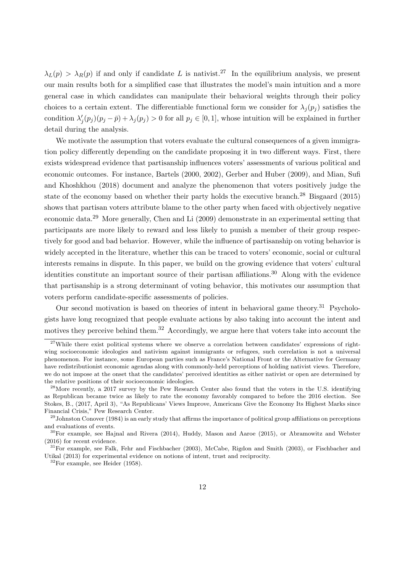$\lambda_L(p) > \lambda_R(p)$  if and only if candidate L is nativist.<sup>27</sup> In the equilibrium analysis, we present our main results both for a simplified case that illustrates the model's main intuition and a more general case in which candidates can manipulate their behavioral weights through their policy choices to a certain extent. The differentiable functional form we consider for  $\lambda_i(p_i)$  satisfies the condition  $\lambda'_j(p_j)(p_j - \bar{p}) + \lambda_j(p_j) > 0$  for all  $p_j \in [0, 1]$ , whose intuition will be explained in further detail during the analysis.

We motivate the assumption that voters evaluate the cultural consequences of a given immigration policy differently depending on the candidate proposing it in two different ways. First, there exists widespread evidence that partisanship influences voters' assessments of various political and economic outcomes. For instance, Bartels (2000, 2002), Gerber and Huber (2009), and Mian, Sufi and Khoshkhou (2018) document and analyze the phenomenon that voters positively judge the state of the economy based on whether their party holds the executive branch.<sup>28</sup> Bisgaard (2015) shows that partisan voters attribute blame to the other party when faced with objectively negative economic data.<sup>29</sup> More generally, Chen and Li (2009) demonstrate in an experimental setting that participants are more likely to reward and less likely to punish a member of their group respectively for good and bad behavior. However, while the influence of partisanship on voting behavior is widely accepted in the literature, whether this can be traced to voters' economic, social or cultural interests remains in dispute. In this paper, we build on the growing evidence that voters' cultural identities constitute an important source of their partisan affiliations.<sup>30</sup> Along with the evidence that partisanship is a strong determinant of voting behavior, this motivates our assumption that voters perform candidate-specific assessments of policies.

Our second motivation is based on theories of intent in behavioral game theory.<sup>31</sup> Psychologists have long recognized that people evaluate actions by also taking into account the intent and motives they perceive behind them.<sup>32</sup> Accordingly, we argue here that voters take into account the

<sup>&</sup>lt;sup>27</sup>While there exist political systems where we observe a correlation between candidates' expressions of rightwing socioeconomic ideologies and nativism against immigrants or refugees, such correlation is not a universal phenomenon. For instance, some European parties such as France's National Front or the Alternative for Germany have redistributionist economic agendas along with commonly-held perceptions of holding nativist views. Therefore, we do not impose at the onset that the candidates' perceived identities as either nativist or open are determined by the relative positions of their socioeconomic ideologies.

<sup>&</sup>lt;sup>28</sup>More recently, a 2017 survey by the Pew Research Center also found that the voters in the U.S. identifying as Republican became twice as likely to rate the economy favorably compared to before the 2016 election. See Stokes, B., (2017, April 3), "As Republicans' Views Improve, Americans Give the Economy Its Highest Marks since Financial Crisis," Pew Research Center.

 $29$ Johnston Conover (1984) is an early study that affirms the importance of political group affiliations on perceptions and evaluations of events.

<sup>30</sup>For example, see Hajnal and Rivera (2014), Huddy, Mason and Aaroe (2015), or Abramowitz and Webster (2016) for recent evidence.

<sup>31</sup>For example, see Falk, Fehr and Fischbacher (2003), McCabe, Rigdon and Smith (2003), or Fischbacher and Utikal (2013) for experimental evidence on notions of intent, trust and reciprocity.

<sup>32</sup>For example, see Heider (1958).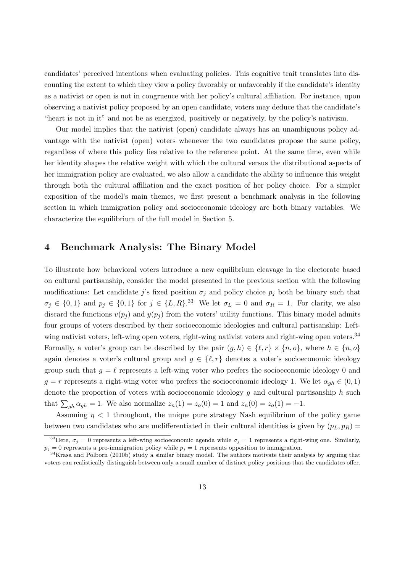candidates' perceived intentions when evaluating policies. This cognitive trait translates into discounting the extent to which they view a policy favorably or unfavorably if the candidate's identity as a nativist or open is not in congruence with her policy's cultural affiliation. For instance, upon observing a nativist policy proposed by an open candidate, voters may deduce that the candidate's "heart is not in it" and not be as energized, positively or negatively, by the policy's nativism.

Our model implies that the nativist (open) candidate always has an unambiguous policy advantage with the nativist (open) voters whenever the two candidates propose the same policy, regardless of where this policy lies relative to the reference point. At the same time, even while her identity shapes the relative weight with which the cultural versus the distributional aspects of her immigration policy are evaluated, we also allow a candidate the ability to influence this weight through both the cultural affiliation and the exact position of her policy choice. For a simpler exposition of the model's main themes, we first present a benchmark analysis in the following section in which immigration policy and socioeconomic ideology are both binary variables. We characterize the equilibrium of the full model in Section 5.

# 4 Benchmark Analysis: The Binary Model

To illustrate how behavioral voters introduce a new equilibrium cleavage in the electorate based on cultural partisanship, consider the model presented in the previous section with the following modifications: Let candidate j's fixed position  $\sigma_j$  and policy choice  $p_j$  both be binary such that  $\sigma_j \in \{0,1\}$  and  $p_j \in \{0,1\}$  for  $j \in \{L,R\}.$ <sup>33</sup> We let  $\sigma_L = 0$  and  $\sigma_R = 1$ . For clarity, we also discard the functions  $v(p_i)$  and  $y(p_i)$  from the voters' utility functions. This binary model admits four groups of voters described by their socioeconomic ideologies and cultural partisanship: Leftwing nativist voters, left-wing open voters, right-wing nativist voters and right-wing open voters.<sup>34</sup> Formally, a voter's group can be described by the pair  $(g, h) \in \{\ell, r\} \times \{n, o\}$ , where  $h \in \{n, o\}$ again denotes a voter's cultural group and  $g \in \{\ell, r\}$  denotes a voter's socioeconomic ideology group such that  $g = \ell$  represents a left-wing voter who prefers the socioeconomic ideology 0 and  $g = r$  represents a right-wing voter who prefers the socioeconomic ideology 1. We let  $\alpha_{gh} \in (0,1)$ denote the proportion of voters with socioeconomic ideology  $g$  and cultural partisanship  $h$  such that  $\sum_{gh} \alpha_{gh} = 1$ . We also normalize  $z_n(1) = z_o(0) = 1$  and  $z_n(0) = z_o(1) = -1$ .

Assuming  $\eta$  < 1 throughout, the unique pure strategy Nash equilibrium of the policy game between two candidates who are undifferentiated in their cultural identities is given by  $(p_L, p_R)$  =

<sup>&</sup>lt;sup>33</sup>Here,  $\sigma_i = 0$  represents a left-wing socioeconomic agenda while  $\sigma_j = 1$  represents a right-wing one. Similarly,  $p_j = 0$  represents a pro-immigration policy while  $p_j = 1$  represents opposition to immigration.

<sup>34</sup>Krasa and Polborn (2010b) study a similar binary model. The authors motivate their analysis by arguing that voters can realistically distinguish between only a small number of distinct policy positions that the candidates offer.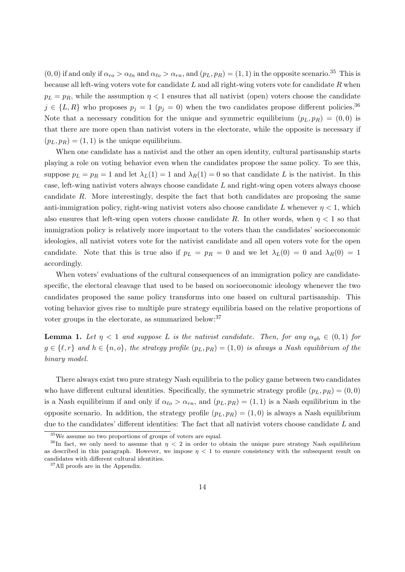$(0, 0)$  if and only if  $\alpha_{ro} > \alpha_{\ell n}$  and  $\alpha_{\ell o} > \alpha_{rn}$ , and  $(p_L, p_R) = (1, 1)$  in the opposite scenario.<sup>35</sup> This is because all left-wing voters vote for candidate  $L$  and all right-wing voters vote for candidate  $R$  when  $p_L = p_R$ , while the assumption  $\eta < 1$  ensures that all nativist (open) voters choose the candidate  $j \in \{L, R\}$  who proposes  $p_j = 1$   $(p_j = 0)$  when the two candidates propose different policies.<sup>36</sup> Note that a necessary condition for the unique and symmetric equilibrium  $(p_L, p_R) = (0, 0)$  is that there are more open than nativist voters in the electorate, while the opposite is necessary if  $(p_L, p_R) = (1, 1)$  is the unique equilibrium.

When one candidate has a nativist and the other an open identity, cultural partisanship starts playing a role on voting behavior even when the candidates propose the same policy. To see this, suppose  $p_L = p_R = 1$  and let  $\lambda_L(1) = 1$  and  $\lambda_R(1) = 0$  so that candidate L is the nativist. In this case, left-wing nativist voters always choose candidate L and right-wing open voters always choose candidate R. More interestingly, despite the fact that both candidates are proposing the same anti-immigration policy, right-wing nativist voters also choose candidate L whenever  $\eta < 1$ , which also ensures that left-wing open voters choose candidate R. In other words, when  $\eta < 1$  so that immigration policy is relatively more important to the voters than the candidates' socioeconomic ideologies, all nativist voters vote for the nativist candidate and all open voters vote for the open candidate. Note that this is true also if  $p_L = p_R = 0$  and we let  $\lambda_L(0) = 0$  and  $\lambda_R(0) = 1$ accordingly.

When voters' evaluations of the cultural consequences of an immigration policy are candidatespecific, the electoral cleavage that used to be based on socioeconomic ideology whenever the two candidates proposed the same policy transforms into one based on cultural partisanship. This voting behavior gives rise to multiple pure strategy equilibria based on the relative proportions of voter groups in the electorate, as summarized below:<sup>37</sup>

**Lemma 1.** Let  $\eta$  < 1 and suppose L is the nativist candidate. Then, for any  $\alpha_{gh} \in (0,1)$  for  $g \in \{\ell, r\}$  and  $h \in \{n, o\}$ , the strategy profile  $(p_L, p_R) = (1, 0)$  is always a Nash equilibrium of the binary model.

There always exist two pure strategy Nash equilibria to the policy game between two candidates who have different cultural identities. Specifically, the symmetric strategy profile  $(p_L, p_R) = (0, 0)$ is a Nash equilibrium if and only if  $\alpha_{\ell o} > \alpha_{rn}$ , and  $(p_L, p_R) = (1, 1)$  is a Nash equilibrium in the opposite scenario. In addition, the strategy profile  $(p_L, p_R) = (1, 0)$  is always a Nash equilibrium due to the candidates' different identities: The fact that all nativist voters choose candidate L and

<sup>35</sup>We assume no two proportions of groups of voters are equal.

<sup>&</sup>lt;sup>36</sup>In fact, we only need to assume that  $\eta < 2$  in order to obtain the unique pure strategy Nash equilibrium as described in this paragraph. However, we impose  $\eta < 1$  to ensure consistency with the subsequent result on candidates with different cultural identities.

<sup>&</sup>lt;sup>37</sup>All proofs are in the Appendix.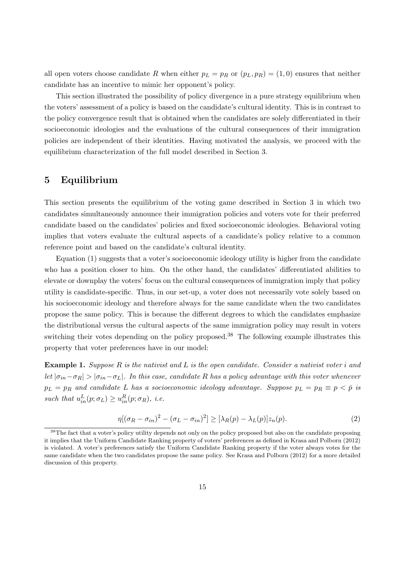all open voters choose candidate R when either  $p_L = p_R$  or  $(p_L, p_R) = (1, 0)$  ensures that neither candidate has an incentive to mimic her opponent's policy.

This section illustrated the possibility of policy divergence in a pure strategy equilibrium when the voters' assessment of a policy is based on the candidate's cultural identity. This is in contrast to the policy convergence result that is obtained when the candidates are solely differentiated in their socioeconomic ideologies and the evaluations of the cultural consequences of their immigration policies are independent of their identities. Having motivated the analysis, we proceed with the equilibrium characterization of the full model described in Section 3.

## 5 Equilibrium

This section presents the equilibrium of the voting game described in Section 3 in which two candidates simultaneously announce their immigration policies and voters vote for their preferred candidate based on the candidates' policies and fixed socioeconomic ideologies. Behavioral voting implies that voters evaluate the cultural aspects of a candidate's policy relative to a common reference point and based on the candidate's cultural identity.

Equation (1) suggests that a voter's socioeconomic ideology utility is higher from the candidate who has a position closer to him. On the other hand, the candidates' differentiated abilities to elevate or downplay the voters' focus on the cultural consequences of immigration imply that policy utility is candidate-specific. Thus, in our set-up, a voter does not necessarily vote solely based on his socioeconomic ideology and therefore always for the same candidate when the two candidates propose the same policy. This is because the different degrees to which the candidates emphasize the distributional versus the cultural aspects of the same immigration policy may result in voters switching their votes depending on the policy proposed.<sup>38</sup> The following example illustrates this property that voter preferences have in our model:

**Example 1.** Suppose R is the nativist and L is the open candidate. Consider a nativist voter i and let  $|\sigma_{in} - \sigma_R| > |\sigma_{in} - \sigma_L|$ . In this case, candidate R has a policy advantage with this voter whenever  $p_L = p_R$  and candidate L has a socioeconomic ideology advantage. Suppose  $p_L = p_R \equiv p \langle \bar{p} \rangle$  is such that  $u_{in}^L(p; \sigma_L) \geq u_{in}^R(p; \sigma_R)$ , *i.e.* 

$$
\eta[(\sigma_R - \sigma_{in})^2 - (\sigma_L - \sigma_{in})^2] \ge [\lambda_R(p) - \lambda_L(p)]z_n(p). \tag{2}
$$

<sup>&</sup>lt;sup>38</sup>The fact that a voter's policy utility depends not only on the policy proposed but also on the candidate proposing it implies that the Uniform Candidate Ranking property of voters' preferences as defined in Krasa and Polborn (2012) is violated. A voter's preferences satisfy the Uniform Candidate Ranking property if the voter always votes for the same candidate when the two candidates propose the same policy. See Krasa and Polborn (2012) for a more detailed discussion of this property.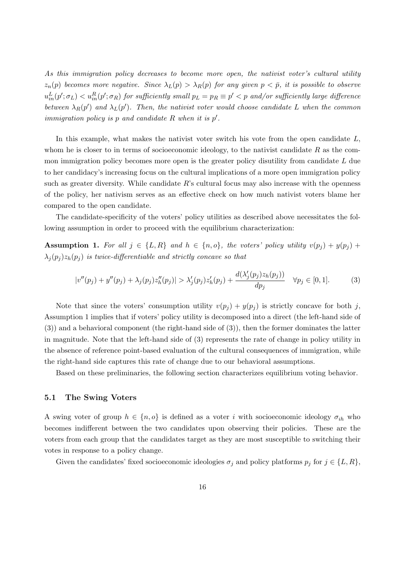As this immigration policy decreases to become more open, the nativist voter's cultural utility  $z_n(p)$  becomes more negative. Since  $\lambda_L(p) > \lambda_R(p)$  for any given  $p < \bar{p}$ , it is possible to observe  $u^L_{in}(p';\sigma_L) < u^R_{in}(p';\sigma_R)$  for sufficiently small  $p_L = p_R \equiv p' < p$  and/or sufficiently large difference between  $\lambda_R(p')$  and  $\lambda_L(p')$ . Then, the nativist voter would choose candidate L when the common immigration policy is  $p$  and candidate  $R$  when it is  $p'$ .

In this example, what makes the nativist voter switch his vote from the open candidate  $L$ , whom he is closer to in terms of socioeconomic ideology, to the nativist candidate  $R$  as the common immigration policy becomes more open is the greater policy disutility from candidate  $L$  due to her candidacy's increasing focus on the cultural implications of a more open immigration policy such as greater diversity. While candidate  $R$ 's cultural focus may also increase with the openness of the policy, her nativism serves as an effective check on how much nativist voters blame her compared to the open candidate.

The candidate-specificity of the voters' policy utilities as described above necessitates the following assumption in order to proceed with the equilibrium characterization:

**Assumption 1.** For all  $j \in \{L, R\}$  and  $h \in \{n, o\}$ , the voters' policy utility  $v(p_j) + y(p_j) +$  $\lambda_i(p_i)z_h(p_i)$  is twice-differentiable and strictly concave so that

$$
|v''(p_j) + y''(p_j) + \lambda_j(p_j)z''_h(p_j)| > \lambda'_j(p_j)z'_h(p_j) + \frac{d(\lambda'_j(p_j)z_h(p_j))}{dp_j} \quad \forall p_j \in [0, 1].
$$
 (3)

Note that since the voters' consumption utility  $v(p_i) + y(p_i)$  is strictly concave for both j, Assumption 1 implies that if voters' policy utility is decomposed into a direct (the left-hand side of (3)) and a behavioral component (the right-hand side of (3)), then the former dominates the latter in magnitude. Note that the left-hand side of (3) represents the rate of change in policy utility in the absence of reference point-based evaluation of the cultural consequences of immigration, while the right-hand side captures this rate of change due to our behavioral assumptions.

Based on these preliminaries, the following section characterizes equilibrium voting behavior.

#### 5.1 The Swing Voters

A swing voter of group  $h \in \{n, o\}$  is defined as a voter i with socioeconomic ideology  $\sigma_{ih}$  who becomes indifferent between the two candidates upon observing their policies. These are the voters from each group that the candidates target as they are most susceptible to switching their votes in response to a policy change.

Given the candidates' fixed socioeconomic ideologies  $\sigma_j$  and policy platforms  $p_j$  for  $j \in \{L, R\}$ ,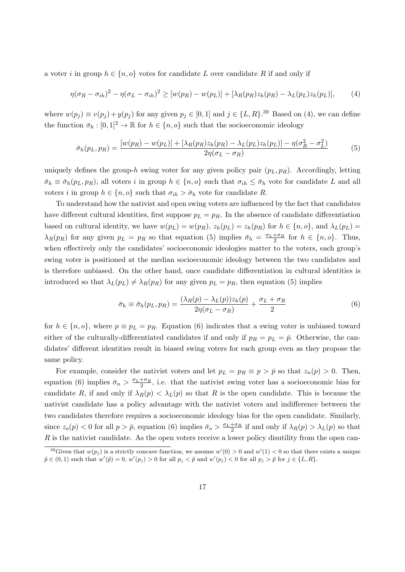a voter i in group  $h \in \{n, o\}$  votes for candidate L over candidate R if and only if

$$
\eta(\sigma_R - \sigma_{ih})^2 - \eta(\sigma_L - \sigma_{ih})^2 \geq [w(p_R) - w(p_L)] + [\lambda_R(p_R)z_h(p_R) - \lambda_L(p_L)z_h(p_L)],\tag{4}
$$

where  $w(p_j) \equiv v(p_j) + y(p_j)$  for any given  $p_j \in [0, 1]$  and  $j \in \{L, R\}$ .<sup>39</sup> Based on (4), we can define the function  $\bar{\sigma}_h : [0, 1]^2 \to \mathbb{R}$  for  $h \in \{n, o\}$  such that the socioeconomic ideology

$$
\bar{\sigma}_h(p_L, p_R) = \frac{[w(p_R) - w(p_L)] + [\lambda_R(p_R)z_h(p_R) - \lambda_L(p_L)z_h(p_L)] - \eta(\sigma_R^2 - \sigma_L^2)}{2\eta(\sigma_L - \sigma_R)}\tag{5}
$$

uniquely defines the group-h swing voter for any given policy pair  $(p_L, p_R)$ . Accordingly, letting  $\bar{\sigma}_h \equiv \bar{\sigma}_h(p_L, p_R)$ , all voters i in group  $h \in \{n, o\}$  such that  $\sigma_{ih} \leq \bar{\sigma}_h$  vote for candidate L and all voters i in group  $h \in \{n, o\}$  such that  $\sigma_{ih} > \bar{\sigma}_h$  vote for candidate R.

To understand how the nativist and open swing voters are influenced by the fact that candidates have different cultural identities, first suppose  $p_L = p_R$ . In the absence of candidate differentiation based on cultural identity, we have  $w(p_L) = w(p_R)$ ,  $z_h(p_L) = z_h(p_R)$  for  $h \in \{n, o\}$ , and  $\lambda_L(p_L) =$  $\lambda_R(p_R)$  for any given  $p_L = p_R$  so that equation (5) implies  $\bar{\sigma}_h = \frac{\sigma_L + \sigma_R}{2}$  for  $h \in \{n, o\}$ . Thus, when effectively only the candidates' socioeconomic ideologies matter to the voters, each group's swing voter is positioned at the median socioeconomic ideology between the two candidates and is therefore unbiased. On the other hand, once candidate differentiation in cultural identities is introduced so that  $\lambda_L(p_L) \neq \lambda_R(p_R)$  for any given  $p_L = p_R$ , then equation (5) implies

$$
\bar{\sigma}_h \equiv \bar{\sigma}_h(p_L, p_R) = \frac{(\lambda_R(p) - \lambda_L(p))z_h(p)}{2\eta(\sigma_L - \sigma_R)} + \frac{\sigma_L + \sigma_R}{2}
$$
(6)

for  $h \in \{n, o\}$ , where  $p \equiv p_L = p_R$ . Equation (6) indicates that a swing voter is unbiased toward either of the culturally-differentiated candidates if and only if  $p_R = p_L = \bar{p}$ . Otherwise, the candidates' different identities result in biased swing voters for each group even as they propose the same policy.

For example, consider the nativist voters and let  $p_L = p_R \equiv p > \bar{p}$  so that  $z_n(p) > 0$ . Then, equation (6) implies  $\bar{\sigma}_n > \frac{\sigma_L + \sigma_R}{2}$ , i.e. that the nativist swing voter has a socioeconomic bias for candidate R, if and only if  $\lambda_R(p) < \lambda_L(p)$  so that R is the open candidate. This is because the nativist candidate has a policy advantage with the nativist voters and indifference between the two candidates therefore requires a socioeconomic ideology bias for the open candidate. Similarly, since  $z_o(p) < 0$  for all  $p > \bar{p}$ , equation (6) implies  $\bar{\sigma}_o > \frac{\sigma_L + \sigma_R}{2}$  if and only if  $\lambda_R(p) > \lambda_L(p)$  so that  $R$  is the nativist candidate. As the open voters receive a lower policy disutility from the open can-

<sup>&</sup>lt;sup>39</sup>Given that  $w(p_j)$  is a strictly concave function, we assume  $w'(0) > 0$  and  $w'(1) < 0$  so that there exists a unique  $\tilde{p} \in (0,1)$  such that  $w'(\tilde{p}) = 0$ ,  $w'(p_j) > 0$  for all  $p_j < \tilde{p}$  and  $w'(p_j) < 0$  for all  $p_j > \tilde{p}$  for  $j \in \{L, R\}$ .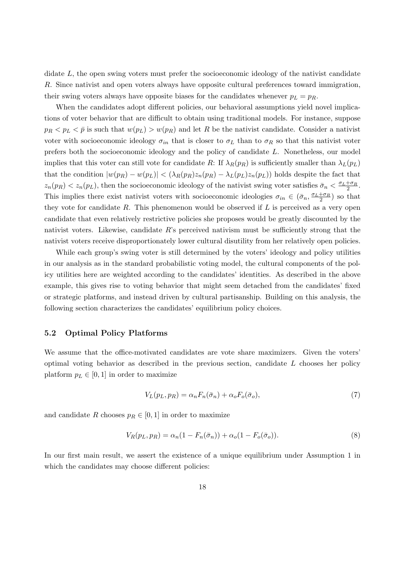didate L, the open swing voters must prefer the socioeconomic ideology of the nativist candidate R. Since nativist and open voters always have opposite cultural preferences toward immigration, their swing voters always have opposite biases for the candidates whenever  $p_L = p_R$ .

When the candidates adopt different policies, our behavioral assumptions yield novel implications of voter behavior that are difficult to obtain using traditional models. For instance, suppose  $p_R < p_L < \bar{p}$  is such that  $w(p_L) > w(p_R)$  and let R be the nativist candidate. Consider a nativist voter with socioeconomic ideology  $\sigma_{in}$  that is closer to  $\sigma_L$  than to  $\sigma_R$  so that this nativist voter prefers both the socioeconomic ideology and the policy of candidate L. Nonetheless, our model implies that this voter can still vote for candidate R: If  $\lambda_R(p_R)$  is sufficiently smaller than  $\lambda_L(p_L)$ that the condition  $|w(p_R) - w(p_L)| < (\lambda_R(p_R)z_n(p_R) - \lambda_L(p_L)z_n(p_L))$  holds despite the fact that  $z_n(p_R) < z_n(p_L)$ , then the socioeconomic ideology of the nativist swing voter satisfies  $\bar{\sigma}_n < \frac{\sigma_L + \sigma_R}{2}$ . This implies there exist nativist voters with socioeconomic ideologies  $\sigma_{in} \in (\bar{\sigma}_n, \frac{\sigma_L + \sigma_R}{2})$  so that they vote for candidate R. This phenomenon would be observed if  $L$  is perceived as a very open candidate that even relatively restrictive policies she proposes would be greatly discounted by the nativist voters. Likewise, candidate  $R$ 's perceived nativism must be sufficiently strong that the nativist voters receive disproportionately lower cultural disutility from her relatively open policies.

While each group's swing voter is still determined by the voters' ideology and policy utilities in our analysis as in the standard probabilistic voting model, the cultural components of the policy utilities here are weighted according to the candidates' identities. As described in the above example, this gives rise to voting behavior that might seem detached from the candidates' fixed or strategic platforms, and instead driven by cultural partisanship. Building on this analysis, the following section characterizes the candidates' equilibrium policy choices.

#### 5.2 Optimal Policy Platforms

We assume that the office-motivated candidates are vote share maximizers. Given the voters' optimal voting behavior as described in the previous section, candidate  $L$  chooses her policy platform  $p_L \in [0, 1]$  in order to maximize

$$
V_L(p_L, p_R) = \alpha_n F_n(\bar{\sigma}_n) + \alpha_o F_o(\bar{\sigma}_o), \tag{7}
$$

and candidate R chooses  $p_R \in [0,1]$  in order to maximize

$$
V_R(p_L, p_R) = \alpha_n (1 - F_n(\bar{\sigma}_n)) + \alpha_o (1 - F_o(\bar{\sigma}_o)).
$$
\n
$$
(8)
$$

In our first main result, we assert the existence of a unique equilibrium under Assumption 1 in which the candidates may choose different policies: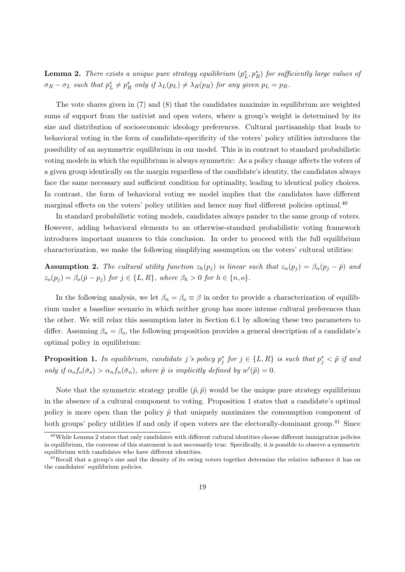**Lemma 2.** There exists a unique pure strategy equilibrium  $(p_L^*, p_R^*)$  for sufficiently large values of  $\sigma_R - \sigma_L$  such that  $p_L^* \neq p_R^*$  only if  $\lambda_L(p_L) \neq \lambda_R(p_R)$  for any given  $p_L = p_R$ .

The vote shares given in (7) and (8) that the candidates maximize in equilibrium are weighted sums of support from the nativist and open voters, where a group's weight is determined by its size and distribution of socioeconomic ideology preferences. Cultural partisanship that leads to behavioral voting in the form of candidate-specificity of the voters' policy utilities introduces the possibility of an asymmetric equilibrium in our model. This is in contrast to standard probabilistic voting models in which the equilibrium is always symmetric: As a policy change affects the voters of a given group identically on the margin regardless of the candidate's identity, the candidates always face the same necessary and sufficient condition for optimality, leading to identical policy choices. In contrast, the form of behavioral voting we model implies that the candidates have different marginal effects on the voters' policy utilities and hence may find different policies optimal.<sup>40</sup>

In standard probabilistic voting models, candidates always pander to the same group of voters. However, adding behavioral elements to an otherwise-standard probabilistic voting framework introduces important nuances to this conclusion. In order to proceed with the full equilibrium characterization, we make the following simplifying assumption on the voters' cultural utilities:

**Assumption 2.** The cultural utility function  $z_h(p_j)$  is linear such that  $z_n(p_j) = \beta_n(p_j - \bar{p})$  and  $z_o(p_j) = \beta_o(\bar{p} - p_j)$  for  $j \in \{L, R\}$ , where  $\beta_h > 0$  for  $h \in \{n, o\}$ .

In the following analysis, we let  $\beta_n = \beta_o \equiv \beta$  in order to provide a characterization of equilibrium under a baseline scenario in which neither group has more intense cultural preferences than the other. We will relax this assumption later in Section 6.1 by allowing these two parameters to differ. Assuming  $\beta_n = \beta_o$ , the following proposition provides a general description of a candidate's optimal policy in equilibrium:

**Proposition 1.** In equilibrium, candidate j's policy  $p_j^*$  for  $j \in \{L, R\}$  is such that  $p_j^* < \tilde{p}$  if and only if  $\alpha_o f_o(\bar{\sigma}_o) > \alpha_n f_n(\bar{\sigma}_n)$ , where  $\tilde{p}$  is implicitly defined by  $w'(\tilde{p}) = 0$ .

Note that the symmetric strategy profile  $(\tilde{p}, \tilde{p})$  would be the unique pure strategy equilibrium in the absence of a cultural component to voting. Proposition 1 states that a candidate's optimal policy is more open than the policy  $\tilde{p}$  that uniquely maximizes the consumption component of both groups' policy utilities if and only if open voters are the electorally-dominant group.<sup>41</sup> Since

 $^{40}$ While Lemma 2 states that only candidates with different cultural identities choose different immigration policies in equilibrium, the converse of this statement is not necessarily true. Specifically, it is possible to observe a symmetric equilibrium with candidates who have different identities.

 $^{41}$ Recall that a group's size and the density of its swing voters together determine the relative influence it has on the candidates' equilibrium policies.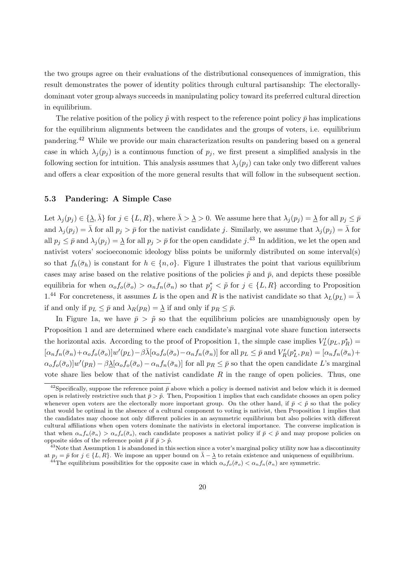the two groups agree on their evaluations of the distributional consequences of immigration, this result demonstrates the power of identity politics through cultural partisanship: The electorallydominant voter group always succeeds in manipulating policy toward its preferred cultural direction in equilibrium.

The relative position of the policy  $\tilde{p}$  with respect to the reference point policy  $\bar{p}$  has implications for the equilibrium alignments between the candidates and the groups of voters, i.e. equilibrium pandering.<sup>42</sup> While we provide our main characterization results on pandering based on a general case in which  $\lambda_j(p_j)$  is a continuous function of  $p_j$ , we first present a simplified analysis in the following section for intuition. This analysis assumes that  $\lambda_i(p_i)$  can take only two different values and offers a clear exposition of the more general results that will follow in the subsequent section.

#### 5.3 Pandering: A Simple Case

Let  $\lambda_j(p_j) \in \{\underline{\lambda}, \overline{\lambda}\}\$ for  $j \in \{L, R\}$ , where  $\overline{\lambda} > \underline{\lambda} > 0$ . We assume here that  $\lambda_j(p_j) = \underline{\lambda}$  for all  $p_j \leq \overline{p}$ and  $\lambda_j(p_j) = \overline{\lambda}$  for all  $p_j > \overline{p}$  for the nativist candidate j. Similarly, we assume that  $\lambda_j(p_j) = \overline{\lambda}$  for all  $p_j \leq \bar{p}$  and  $\lambda_j(p_j) = \underline{\lambda}$  for all  $p_j > \bar{p}$  for the open candidate  $j$ .<sup>43</sup> In addition, we let the open and nativist voters' socioeconomic ideology bliss points be uniformly distributed on some interval(s) so that  $f_h(\bar{\sigma}_h)$  is constant for  $h \in \{n, o\}$ . Figure 1 illustrates the point that various equilibrium cases may arise based on the relative positions of the policies  $\tilde{p}$  and  $\bar{p}$ , and depicts these possible equilibria for when  $\alpha_o f_o(\bar{\sigma}_o) > \alpha_n f_n(\bar{\sigma}_n)$  so that  $p_j^* < \tilde{p}$  for  $j \in \{L, R\}$  according to Proposition 1.<sup>44</sup> For concreteness, it assumes L is the open and R is the nativist candidate so that  $\lambda_L(p_L) = \overline{\lambda}$ if and only if  $p_L \leq \bar{p}$  and  $\lambda_R(p_R) = \lambda$  if and only if  $p_R \leq \bar{p}$ .

In Figure 1a, we have  $\bar{p} > \tilde{p}$  so that the equilibrium policies are unambiguously open by Proposition 1 and are determined where each candidate's marginal vote share function intersects the horizontal axis. According to the proof of Proposition 1, the simple case implies  $V_L(p_L, p_R^*)$  $[\alpha_n f_n(\bar{\sigma}_n) + \alpha_o f_o(\bar{\sigma}_o)] w'(p_L) - \beta \bar{\lambda} [\alpha_o f_o(\bar{\sigma}_o) - \alpha_n f_n(\bar{\sigma}_n)]$  for all  $p_L \leq \bar{p}$  and  $V'_R(p_L^*, p_R) = [\alpha_n f_n(\bar{\sigma}_n) + \alpha_o f_o(\bar{\sigma}_o)]$  $\alpha_o f_o(\bar{\sigma}_o)$ ]w' $(p_R) - \beta \underline{\lambda} [\alpha_o f_o(\bar{\sigma}_o) - \alpha_n f_n(\bar{\sigma}_n)]$  for all  $p_R \leq \bar{p}$  so that the open candidate L's marginal vote share lies below that of the nativist candidate  $R$  in the range of open policies. Thus, one

<sup>&</sup>lt;sup>42</sup>Specifically, suppose the reference point  $\bar{p}$  above which a policy is deemed nativist and below which it is deemed open is relatively restrictive such that  $\bar{p} > \tilde{p}$ . Then, Proposition 1 implies that each candidate chooses an open policy whenever open voters are the electorally more important group. On the other hand, if  $\bar{p} < \tilde{p}$  so that the policy that would be optimal in the absence of a cultural component to voting is nativist, then Proposition 1 implies that the candidates may choose not only different policies in an asymmetric equilibrium but also policies with different cultural affiliations when open voters dominate the nativists in electoral importance. The converse implication is that when  $\alpha_n f_n(\bar{\sigma}_n) > \alpha_o f_o(\bar{\sigma}_o)$ , each candidate proposes a nativist policy if  $\bar{p} < \tilde{p}$  and may propose policies on opposite sides of the reference point  $\bar{p}$  if  $\bar{p} > \tilde{p}$ .

 $43$ Note that Assumption 1 is abandoned in this section since a voter's marginal policy utility now has a discontinuity at  $p_j = \bar{p}$  for  $j \in \{L, R\}$ . We impose an upper bound on  $\bar{\lambda} - \underline{\lambda}$  to retain existence and uniqueness of equilibrium.

<sup>&</sup>lt;sup>44</sup>The equilibrium possibilities for the opposite case in which  $\alpha_o f_o(\bar{\sigma}_o) < \alpha_n f_n(\bar{\sigma}_n)$  are symmetric.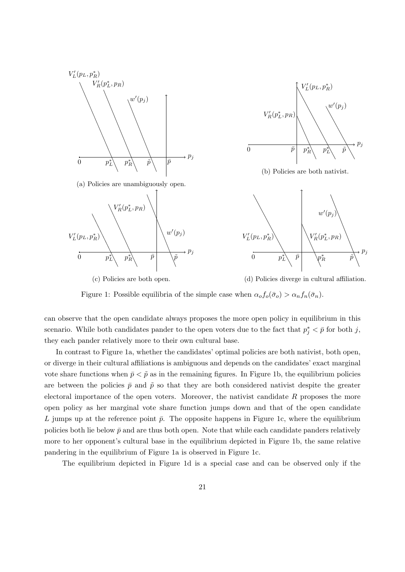



(b) Policies are both nativist.



(c) Policies are both open.

(d) Policies diverge in cultural affiliation.

Figure 1: Possible equilibria of the simple case when  $\alpha_o f_o(\bar{\sigma}_o) > \alpha_n f_n(\bar{\sigma}_n)$ .

can observe that the open candidate always proposes the more open policy in equilibrium in this scenario. While both candidates pander to the open voters due to the fact that  $p_j^* < \bar{p}$  for both j, they each pander relatively more to their own cultural base.

In contrast to Figure 1a, whether the candidates' optimal policies are both nativist, both open, or diverge in their cultural affiliations is ambiguous and depends on the candidates' exact marginal vote share functions when  $\bar{p} < \tilde{p}$  as in the remaining figures. In Figure 1b, the equilibrium policies are between the policies  $\bar{p}$  and  $\tilde{p}$  so that they are both considered nativist despite the greater electoral importance of the open voters. Moreover, the nativist candidate  $R$  proposes the more open policy as her marginal vote share function jumps down and that of the open candidate L jumps up at the reference point  $\bar{p}$ . The opposite happens in Figure 1c, where the equilibrium policies both lie below  $\bar{p}$  and are thus both open. Note that while each candidate panders relatively more to her opponent's cultural base in the equilibrium depicted in Figure 1b, the same relative pandering in the equilibrium of Figure 1a is observed in Figure 1c.

The equilibrium depicted in Figure 1d is a special case and can be observed only if the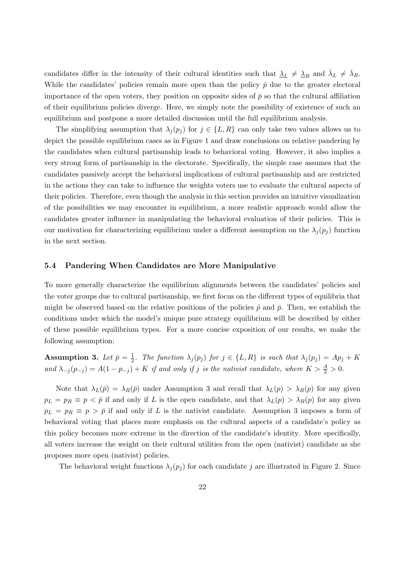candidates differ in the intensity of their cultural identities such that  $\Delta_L \neq \Delta_R$  and  $\bar{\lambda}_L \neq \bar{\lambda}_R$ . While the candidates' policies remain more open than the policy  $\tilde{p}$  due to the greater electoral importance of the open voters, they position on opposite sides of  $\bar{p}$  so that the cultural affiliation of their equilibrium policies diverge. Here, we simply note the possibility of existence of such an equilibrium and postpone a more detailed discussion until the full equilibrium analysis.

The simplifying assumption that  $\lambda_j(p_j)$  for  $j \in \{L, R\}$  can only take two values allows us to depict the possible equilibrium cases as in Figure 1 and draw conclusions on relative pandering by the candidates when cultural partisanship leads to behavioral voting. However, it also implies a very strong form of partisanship in the electorate. Specifically, the simple case assumes that the candidates passively accept the behavioral implications of cultural partisanship and are restricted in the actions they can take to influence the weights voters use to evaluate the cultural aspects of their policies. Therefore, even though the analysis in this section provides an intuitive visualization of the possibilities we may encounter in equilibrium, a more realistic approach would allow the candidates greater influence in manipulating the behavioral evaluation of their policies. This is our motivation for characterizing equilibrium under a different assumption on the  $\lambda_i(p_i)$  function in the next section.

#### 5.4 Pandering When Candidates are More Manipulative

To more generally characterize the equilibrium alignments between the candidates' policies and the voter groups due to cultural partisanship, we first focus on the different types of equilibria that might be observed based on the relative positions of the policies  $\tilde{p}$  and  $\bar{p}$ . Then, we establish the conditions under which the model's unique pure strategy equilibrium will be described by either of these possible equilibrium types. For a more concise exposition of our results, we make the following assumption:

Assumption 3. Let  $\bar{p} = \frac{1}{2}$  $\frac{1}{2}$ . The function  $\lambda_j(p_j)$  for  $j \in \{L, R\}$  is such that  $\lambda_j(p_j) = Ap_j + K$ and  $\lambda_{-j}(p_{-j}) = A(1-p_{-j}) + K$  if and only if j is the nativist candidate, where  $K > \frac{A}{2} > 0$ .

Note that  $\lambda_L(\bar{p}) = \lambda_R(\bar{p})$  under Assumption 3 and recall that  $\lambda_L(p) > \lambda_R(p)$  for any given  $p_L = p_R \equiv p \langle \bar{p} \rangle$  if and only if L is the open candidate, and that  $\lambda_L(p) > \lambda_R(p)$  for any given  $p_L = p_R \equiv p > \bar{p}$  if and only if L is the nativist candidate. Assumption 3 imposes a form of behavioral voting that places more emphasis on the cultural aspects of a candidate's policy as this policy becomes more extreme in the direction of the candidate's identity. More specifically, all voters increase the weight on their cultural utilities from the open (nativist) candidate as she proposes more open (nativist) policies.

The behavioral weight functions  $\lambda_j(p_j)$  for each candidate j are illustrated in Figure 2. Since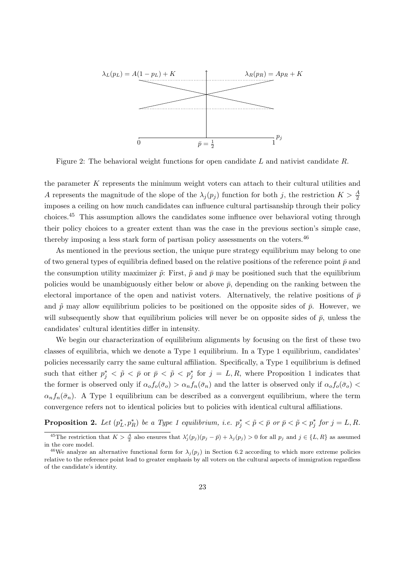

Figure 2: The behavioral weight functions for open candidate L and nativist candidate R.

the parameter  $K$  represents the minimum weight voters can attach to their cultural utilities and A represents the magnitude of the slope of the  $\lambda_j(p_j)$  function for both j, the restriction  $K > \frac{A}{2}$ imposes a ceiling on how much candidates can influence cultural partisanship through their policy choices.<sup>45</sup> This assumption allows the candidates some influence over behavioral voting through their policy choices to a greater extent than was the case in the previous section's simple case, thereby imposing a less stark form of partisan policy assessments on the voters.<sup>46</sup>

As mentioned in the previous section, the unique pure strategy equilibrium may belong to one of two general types of equilibria defined based on the relative positions of the reference point  $\bar{p}$  and the consumption utility maximizer  $\tilde{p}$ : First,  $\tilde{p}$  and  $\bar{p}$  may be positioned such that the equilibrium policies would be unambiguously either below or above  $\bar{p}$ , depending on the ranking between the electoral importance of the open and nativist voters. Alternatively, the relative positions of  $\bar{p}$ and  $\tilde{p}$  may allow equilibrium policies to be positioned on the opposite sides of  $\bar{p}$ . However, we will subsequently show that equilibrium policies will never be on opposite sides of  $\bar{p}$ , unless the candidates' cultural identities differ in intensity.

We begin our characterization of equilibrium alignments by focusing on the first of these two classes of equilibria, which we denote a Type 1 equilibrium. In a Type 1 equilibrium, candidates' policies necessarily carry the same cultural affiliation. Specifically, a Type 1 equilibrium is defined such that either  $p_j^* < \tilde{p} < \bar{p}$  or  $\bar{p} < \tilde{p} < p_j^*$  for  $j = L, R$ , where Proposition 1 indicates that the former is observed only if  $\alpha_o f_o(\bar{\sigma}_o) > \alpha_n f_n(\bar{\sigma}_n)$  and the latter is observed only if  $\alpha_o f_o(\bar{\sigma}_o)$  $\alpha_n f_n(\bar{\sigma}_n)$ . A Type 1 equilibrium can be described as a convergent equilibrium, where the term convergence refers not to identical policies but to policies with identical cultural affiliations.

**Proposition 2.** Let  $(p_L^*, p_R^*)$  be a Type 1 equilibrium, i.e.  $p_j^* < \tilde{p} < \bar{p}$  or  $\bar{p} < \tilde{p} < p_j^*$  for  $j = L, R$ .

<sup>&</sup>lt;sup>45</sup>The restriction that  $K > \frac{A}{2}$  also ensures that  $\lambda'_j(p_j)(p_j - \bar{p}) + \lambda_j(p_j) > 0$  for all  $p_j$  and  $j \in \{L, R\}$  as assumed in the core model.

<sup>&</sup>lt;sup>46</sup>We analyze an alternative functional form for  $\lambda_j(p_j)$  in Section 6.2 according to which more extreme policies relative to the reference point lead to greater emphasis by all voters on the cultural aspects of immigration regardless of the candidate's identity.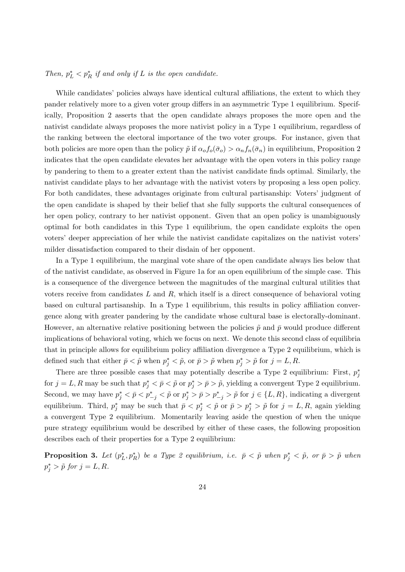# Then,  $p_L^* < p_R^*$  if and only if L is the open candidate.

While candidates' policies always have identical cultural affiliations, the extent to which they pander relatively more to a given voter group differs in an asymmetric Type 1 equilibrium. Specifically, Proposition 2 asserts that the open candidate always proposes the more open and the nativist candidate always proposes the more nativist policy in a Type 1 equilibrium, regardless of the ranking between the electoral importance of the two voter groups. For instance, given that both policies are more open than the policy  $\tilde{p}$  if  $\alpha_o f_o(\bar{\sigma}_o) > \alpha_n f_n(\bar{\sigma}_n)$  in equilibrium, Proposition 2 indicates that the open candidate elevates her advantage with the open voters in this policy range by pandering to them to a greater extent than the nativist candidate finds optimal. Similarly, the nativist candidate plays to her advantage with the nativist voters by proposing a less open policy. For both candidates, these advantages originate from cultural partisanship: Voters' judgment of the open candidate is shaped by their belief that she fully supports the cultural consequences of her open policy, contrary to her nativist opponent. Given that an open policy is unambiguously optimal for both candidates in this Type 1 equilibrium, the open candidate exploits the open voters' deeper appreciation of her while the nativist candidate capitalizes on the nativist voters' milder dissatisfaction compared to their disdain of her opponent.

In a Type 1 equilibrium, the marginal vote share of the open candidate always lies below that of the nativist candidate, as observed in Figure 1a for an open equilibrium of the simple case. This is a consequence of the divergence between the magnitudes of the marginal cultural utilities that voters receive from candidates  $L$  and  $R$ , which itself is a direct consequence of behavioral voting based on cultural partisanship. In a Type 1 equilibrium, this results in policy affiliation convergence along with greater pandering by the candidate whose cultural base is electorally-dominant. However, an alternative relative positioning between the policies  $\tilde{p}$  and  $\bar{p}$  would produce different implications of behavioral voting, which we focus on next. We denote this second class of equilibria that in principle allows for equilibrium policy affiliation divergence a Type 2 equilibrium, which is defined such that either  $\bar{p} < \tilde{p}$  when  $p_j^* < \tilde{p}$ , or  $\bar{p} > \tilde{p}$  when  $p_j^* > \tilde{p}$  for  $j = L, R$ .

There are three possible cases that may potentially describe a Type 2 equilibrium: First,  $p_j^*$ for  $j = L, R$  may be such that  $p_j^* < \bar{p} < \tilde{p}$  or  $p_j^* > \bar{p} > \tilde{p}$ , yielding a convergent Type 2 equilibrium. Second, we may have  $p_j^* < \bar{p} < p_{-j}^* < \tilde{p}$  or  $p_j^* > \bar{p} > p_{-j}^* > \tilde{p}$  for  $j \in \{L, R\}$ , indicating a divergent equilibrium. Third,  $p_j^*$  may be such that  $\bar{p} < p_j^* < \tilde{p}$  or  $\bar{p} > p_j^* > \tilde{p}$  for  $j = L, R$ , again yielding a convergent Type 2 equilibrium. Momentarily leaving aside the question of when the unique pure strategy equilibrium would be described by either of these cases, the following proposition describes each of their properties for a Type 2 equilibrium:

**Proposition 3.** Let  $(p_L^*, p_R^*)$  be a Type 2 equilibrium, i.e.  $\bar{p} < \tilde{p}$  when  $p_j^* < \tilde{p}$ , or  $\bar{p} > \tilde{p}$  when  $p_j^* > \tilde{p}$  for  $j = L, R$ .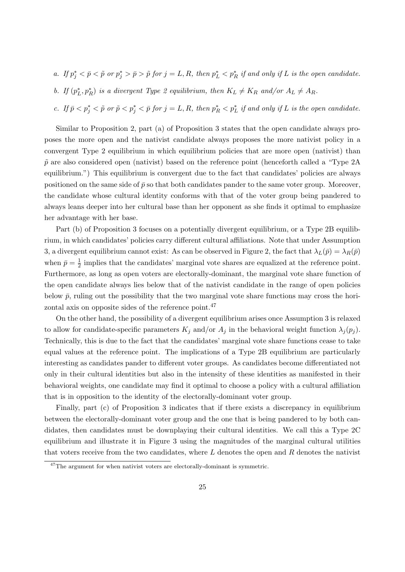- a. If  $p_j^* < \bar{p} < \tilde{p}$  or  $p_j^* > \bar{p} > \tilde{p}$  for  $j = L, R$ , then  $p_L^* < p_R^*$  if and only if L is the open candidate.
- b. If  $(p_L^*, p_R^*)$  is a divergent Type 2 equilibrium, then  $K_L \neq K_R$  and/or  $A_L \neq A_R$ .
- c. If  $\bar{p} < p_j^* < \tilde{p}$  or  $\tilde{p} < p_j^* < \bar{p}$  for  $j = L, R$ , then  $p_R^* < p_L^*$  if and only if L is the open candidate.

Similar to Proposition 2, part (a) of Proposition 3 states that the open candidate always proposes the more open and the nativist candidate always proposes the more nativist policy in a convergent Type 2 equilibrium in which equilibrium policies that are more open (nativist) than  $\tilde{p}$  are also considered open (nativist) based on the reference point (henceforth called a "Type 2A" equilibrium.") This equilibrium is convergent due to the fact that candidates' policies are always positioned on the same side of  $\bar{p}$  so that both candidates pander to the same voter group. Moreover, the candidate whose cultural identity conforms with that of the voter group being pandered to always leans deeper into her cultural base than her opponent as she finds it optimal to emphasize her advantage with her base.

Part (b) of Proposition 3 focuses on a potentially divergent equilibrium, or a Type 2B equilibrium, in which candidates' policies carry different cultural affiliations. Note that under Assumption 3, a divergent equilibrium cannot exist: As can be observed in Figure 2, the fact that  $\lambda_L(\bar{p}) = \lambda_R(\bar{p})$ when  $\bar{p} = \frac{1}{2}$  $\frac{1}{2}$  implies that the candidates' marginal vote shares are equalized at the reference point. Furthermore, as long as open voters are electorally-dominant, the marginal vote share function of the open candidate always lies below that of the nativist candidate in the range of open policies below  $\bar{p}$ , ruling out the possibility that the two marginal vote share functions may cross the horizontal axis on opposite sides of the reference point.<sup>47</sup>

On the other hand, the possibility of a divergent equilibrium arises once Assumption 3 is relaxed to allow for candidate-specific parameters  $K_j$  and/or  $A_j$  in the behavioral weight function  $\lambda_j(p_j)$ . Technically, this is due to the fact that the candidates' marginal vote share functions cease to take equal values at the reference point. The implications of a Type 2B equilibrium are particularly interesting as candidates pander to different voter groups. As candidates become differentiated not only in their cultural identities but also in the intensity of these identities as manifested in their behavioral weights, one candidate may find it optimal to choose a policy with a cultural affiliation that is in opposition to the identity of the electorally-dominant voter group.

Finally, part (c) of Proposition 3 indicates that if there exists a discrepancy in equilibrium between the electorally-dominant voter group and the one that is being pandered to by both candidates, then candidates must be downplaying their cultural identities. We call this a Type 2C equilibrium and illustrate it in Figure 3 using the magnitudes of the marginal cultural utilities that voters receive from the two candidates, where  $L$  denotes the open and  $R$  denotes the nativist

<sup>&</sup>lt;sup>47</sup>The argument for when nativist voters are electorally-dominant is symmetric.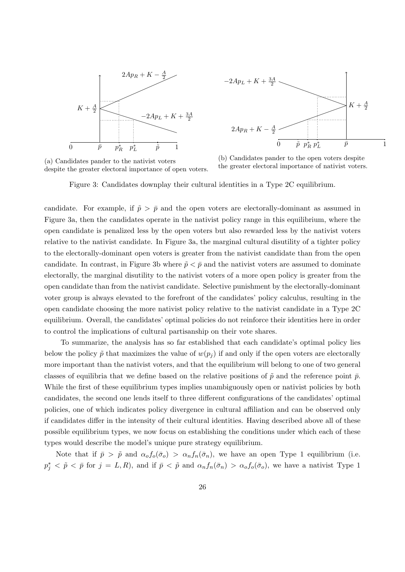



(a) Candidates pander to the nativist voters despite the greater electoral importance of open voters.

(b) Candidates pander to the open voters despite the greater electoral importance of nativist voters.

Figure 3: Candidates downplay their cultural identities in a Type 2C equilibrium.

candidate. For example, if  $\tilde{p} > \bar{p}$  and the open voters are electorally-dominant as assumed in Figure 3a, then the candidates operate in the nativist policy range in this equilibrium, where the open candidate is penalized less by the open voters but also rewarded less by the nativist voters relative to the nativist candidate. In Figure 3a, the marginal cultural disutility of a tighter policy to the electorally-dominant open voters is greater from the nativist candidate than from the open candidate. In contrast, in Figure 3b where  $\tilde{p} < \bar{p}$  and the nativist voters are assumed to dominate electorally, the marginal disutility to the nativist voters of a more open policy is greater from the open candidate than from the nativist candidate. Selective punishment by the electorally-dominant voter group is always elevated to the forefront of the candidates' policy calculus, resulting in the open candidate choosing the more nativist policy relative to the nativist candidate in a Type 2C equilibrium. Overall, the candidates' optimal policies do not reinforce their identities here in order to control the implications of cultural partisanship on their vote shares.

To summarize, the analysis has so far established that each candidate's optimal policy lies below the policy  $\tilde{p}$  that maximizes the value of  $w(p_i)$  if and only if the open voters are electorally more important than the nativist voters, and that the equilibrium will belong to one of two general classes of equilibria that we define based on the relative positions of  $\tilde{p}$  and the reference point  $\bar{p}$ . While the first of these equilibrium types implies unambiguously open or nativist policies by both candidates, the second one lends itself to three different configurations of the candidates' optimal policies, one of which indicates policy divergence in cultural affiliation and can be observed only if candidates differ in the intensity of their cultural identities. Having described above all of these possible equilibrium types, we now focus on establishing the conditions under which each of these types would describe the model's unique pure strategy equilibrium.

Note that if  $\bar{p} > \tilde{p}$  and  $\alpha_o f_o(\bar{\sigma}_o) > \alpha_n f_n(\bar{\sigma}_n)$ , we have an open Type 1 equilibrium (i.e.  $p_j^* < \tilde{p} < \bar{p}$  for  $j = L, R$ , and if  $\bar{p} < \tilde{p}$  and  $\alpha_n f_n(\bar{\sigma}_n) > \alpha_o f_o(\bar{\sigma}_o)$ , we have a nativist Type 1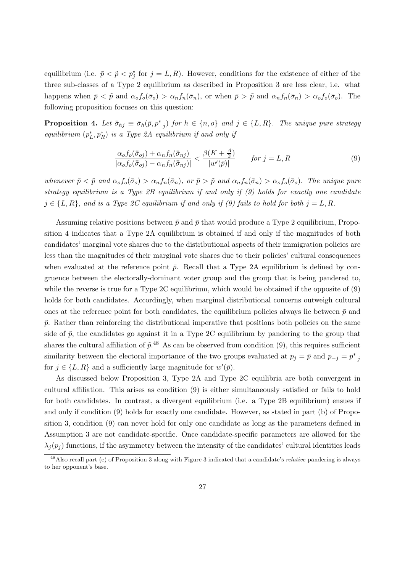equilibrium (i.e.  $\bar{p} < \tilde{p} < p_j^*$  for  $j = L, R$ ). However, conditions for the existence of either of the three sub-classes of a Type 2 equilibrium as described in Proposition 3 are less clear, i.e. what happens when  $\bar{p} < \tilde{p}$  and  $\alpha_o f_o(\bar{\sigma}_o) > \alpha_n f_n(\bar{\sigma}_n)$ , or when  $\bar{p} > \tilde{p}$  and  $\alpha_n f_n(\bar{\sigma}_n) > \alpha_o f_o(\bar{\sigma}_o)$ . The following proposition focuses on this question:

**Proposition 4.** Let  $\bar{\bar{\sigma}}_{hj} \equiv \bar{\sigma}_h(\bar{p}, p^*_{-j})$  for  $h \in \{n, o\}$  and  $j \in \{L, R\}$ . The unique pure strategy equilibrium  $(p_L^*, p_R^*)$  is a Type 2A equilibrium if and only if

$$
\frac{\alpha_o f_o(\bar{\bar{\sigma}}_{oj}) + \alpha_n f_n(\bar{\bar{\sigma}}_{nj})}{|\alpha_o f_o(\bar{\bar{\sigma}}_{oj}) - \alpha_n f_n(\bar{\bar{\sigma}}_{nj})|} & for j = L, R
$$
\n(9)

whenever  $\bar{p} < \tilde{p}$  and  $\alpha_o f_o(\bar{\sigma}_o) > \alpha_n f_n(\bar{\sigma}_n)$ , or  $\bar{p} > \tilde{p}$  and  $\alpha_n f_n(\bar{\sigma}_n) > \alpha_o f_o(\bar{\sigma}_o)$ . The unique pure strategy equilibrium is a Type 2B equilibrium if and only if (9) holds for exactly one candidate  $j \in \{L, R\}$ , and is a Type 2C equilibrium if and only if (9) fails to hold for both  $j = L, R$ .

Assuming relative positions between  $\tilde{p}$  and  $\bar{p}$  that would produce a Type 2 equilibrium, Proposition 4 indicates that a Type 2A equilibrium is obtained if and only if the magnitudes of both candidates' marginal vote shares due to the distributional aspects of their immigration policies are less than the magnitudes of their marginal vote shares due to their policies' cultural consequences when evaluated at the reference point  $\bar{p}$ . Recall that a Type 2A equilibrium is defined by congruence between the electorally-dominant voter group and the group that is being pandered to, while the reverse is true for a Type 2C equilibrium, which would be obtained if the opposite of (9) holds for both candidates. Accordingly, when marginal distributional concerns outweigh cultural ones at the reference point for both candidates, the equilibrium policies always lie between  $\bar{p}$  and  $\tilde{p}$ . Rather than reinforcing the distributional imperative that positions both policies on the same side of  $\tilde{p}$ , the candidates go against it in a Type 2C equilibrium by pandering to the group that shares the cultural affiliation of  $\tilde{p}.^{48}$  As can be observed from condition (9), this requires sufficient similarity between the electoral importance of the two groups evaluated at  $p_j = \bar{p}$  and  $p_{-j} = p_{-j}^*$ for  $j \in \{L, R\}$  and a sufficiently large magnitude for  $w'(\bar{p})$ .

As discussed below Proposition 3, Type 2A and Type 2C equilibria are both convergent in cultural affiliation. This arises as condition (9) is either simultaneously satisfied or fails to hold for both candidates. In contrast, a divergent equilibrium (i.e. a Type 2B equilibrium) ensues if and only if condition (9) holds for exactly one candidate. However, as stated in part (b) of Proposition 3, condition (9) can never hold for only one candidate as long as the parameters defined in Assumption 3 are not candidate-specific. Once candidate-specific parameters are allowed for the  $\lambda_i(p_i)$  functions, if the asymmetry between the intensity of the candidates' cultural identities leads

<sup>&</sup>lt;sup>48</sup>Also recall part (c) of Proposition 3 along with Figure 3 indicated that a candidate's *relative* pandering is always to her opponent's base.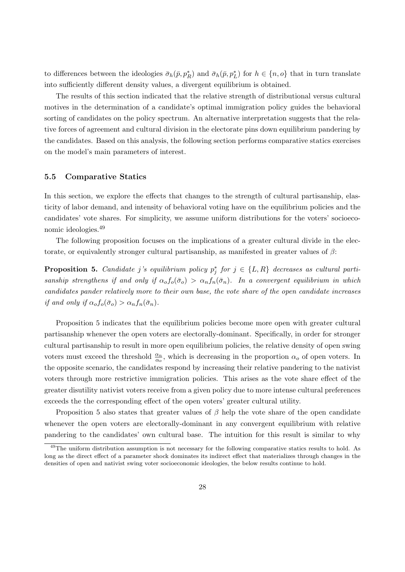to differences between the ideologies  $\bar{\sigma}_h(\bar{p}, p_R^*)$  and  $\bar{\sigma}_h(\bar{p}, p_L^*)$  for  $h \in \{n, o\}$  that in turn translate into sufficiently different density values, a divergent equilibrium is obtained.

The results of this section indicated that the relative strength of distributional versus cultural motives in the determination of a candidate's optimal immigration policy guides the behavioral sorting of candidates on the policy spectrum. An alternative interpretation suggests that the relative forces of agreement and cultural division in the electorate pins down equilibrium pandering by the candidates. Based on this analysis, the following section performs comparative statics exercises on the model's main parameters of interest.

#### 5.5 Comparative Statics

In this section, we explore the effects that changes to the strength of cultural partisanship, elasticity of labor demand, and intensity of behavioral voting have on the equilibrium policies and the candidates' vote shares. For simplicity, we assume uniform distributions for the voters' socioeconomic ideologies.<sup>49</sup>

The following proposition focuses on the implications of a greater cultural divide in the electorate, or equivalently stronger cultural partisanship, as manifested in greater values of  $\beta$ :

**Proposition 5.** Candidate j's equilibrium policy  $p_j^*$  for  $j \in \{L, R\}$  decreases as cultural partisanship strengthens if and only if  $\alpha_o f_o(\bar{\sigma}_o) > \alpha_n f_n(\bar{\sigma}_n)$ . In a convergent equilibrium in which candidates pander relatively more to their own base, the vote share of the open candidate increases if and only if  $\alpha_o f_o(\bar{\sigma}_o) > \alpha_n f_n(\bar{\sigma}_n)$ .

Proposition 5 indicates that the equilibrium policies become more open with greater cultural partisanship whenever the open voters are electorally-dominant. Specifically, in order for stronger cultural partisanship to result in more open equilibrium policies, the relative density of open swing voters must exceed the threshold  $\frac{\alpha_n}{\alpha_o}$ , which is decreasing in the proportion  $\alpha_o$  of open voters. In the opposite scenario, the candidates respond by increasing their relative pandering to the nativist voters through more restrictive immigration policies. This arises as the vote share effect of the greater disutility nativist voters receive from a given policy due to more intense cultural preferences exceeds the the corresponding effect of the open voters' greater cultural utility.

Proposition 5 also states that greater values of  $\beta$  help the vote share of the open candidate whenever the open voters are electorally-dominant in any convergent equilibrium with relative pandering to the candidates' own cultural base. The intuition for this result is similar to why

 $^{49}$ The uniform distribution assumption is not necessary for the following comparative statics results to hold. As long as the direct effect of a parameter shock dominates its indirect effect that materializes through changes in the densities of open and nativist swing voter socioeconomic ideologies, the below results continue to hold.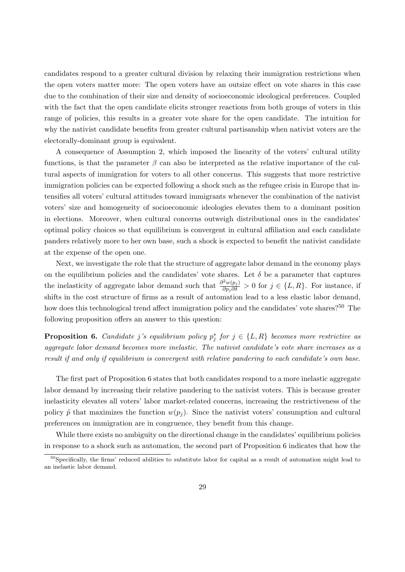candidates respond to a greater cultural division by relaxing their immigration restrictions when the open voters matter more: The open voters have an outsize effect on vote shares in this case due to the combination of their size and density of socioeconomic ideological preferences. Coupled with the fact that the open candidate elicits stronger reactions from both groups of voters in this range of policies, this results in a greater vote share for the open candidate. The intuition for why the nativist candidate benefits from greater cultural partisanship when nativist voters are the electorally-dominant group is equivalent.

A consequence of Assumption 2, which imposed the linearity of the voters' cultural utility functions, is that the parameter  $\beta$  can also be interpreted as the relative importance of the cultural aspects of immigration for voters to all other concerns. This suggests that more restrictive immigration policies can be expected following a shock such as the refugee crisis in Europe that intensifies all voters' cultural attitudes toward immigrants whenever the combination of the nativist voters' size and homogeneity of socioeconomic ideologies elevates them to a dominant position in elections. Moreover, when cultural concerns outweigh distributional ones in the candidates' optimal policy choices so that equilibrium is convergent in cultural affiliation and each candidate panders relatively more to her own base, such a shock is expected to benefit the nativist candidate at the expense of the open one.

Next, we investigate the role that the structure of aggregate labor demand in the economy plays on the equilibrium policies and the candidates' vote shares. Let  $\delta$  be a parameter that captures the inelasticity of aggregate labor demand such that  $\frac{\partial^2 w(p_j)}{\partial p_j \partial \delta} > 0$  for  $j \in \{L, R\}$ . For instance, if shifts in the cost structure of firms as a result of automation lead to a less elastic labor demand, how does this technological trend affect immigration policy and the candidates' vote shares?<sup>50</sup> The following proposition offers an answer to this question:

**Proposition 6.** Candidate j's equilibrium policy  $p_j^*$  for  $j \in \{L, R\}$  becomes more restrictive as aggregate labor demand becomes more inelastic. The nativist candidate's vote share increases as a result if and only if equilibrium is convergent with relative pandering to each candidate's own base.

The first part of Proposition 6 states that both candidates respond to a more inelastic aggregate labor demand by increasing their relative pandering to the nativist voters. This is because greater inelasticity elevates all voters' labor market-related concerns, increasing the restrictiveness of the policy  $\tilde{p}$  that maximizes the function  $w(p_i)$ . Since the nativist voters' consumption and cultural preferences on immigration are in congruence, they benefit from this change.

While there exists no ambiguity on the directional change in the candidates' equilibrium policies in response to a shock such as automation, the second part of Proposition 6 indicates that how the

<sup>&</sup>lt;sup>50</sup>Specifically, the firms' reduced abilities to substitute labor for capital as a result of automation might lead to an inelastic labor demand.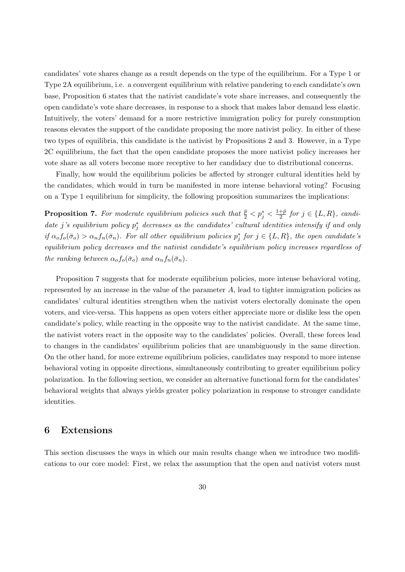candidates' vote shares change as a result depends on the type of the equilibrium. For a Type 1 or Type 2A equilibrium, i.e. a convergent equilibrium with relative pandering to each candidate's own base, Proposition 6 states that the nativist candidate's vote share increases, and consequently the open candidate's vote share decreases, in response to a shock that makes labor demand less elastic. Intuitively, the voters' demand for a more restrictive immigration policy for purely consumption reasons elevates the support of the candidate proposing the more nativist policy. In either of these two types of equilibria, this candidate is the nativist by Propositions 2 and 3. However, in a Type 2C equilibrium, the fact that the open candidate proposes the more nativist policy increases her vote share as all voters become more receptive to her candidacy due to distributional concerns.

Finally, how would the equilibrium policies be affected by stronger cultural identities held by the candidates, which would in turn be manifested in more intense behavioral voting? Focusing on a Type 1 equilibrium for simplicity, the following proposition summarizes the implications:

**Proposition 7.** For moderate equilibrium policies such that  $\frac{\bar{p}}{2} < p_j^* < \frac{1+\bar{p}}{2}$  $\frac{+p}{2}$  for  $j \in \{L, R\}$ , candidate j's equilibrium policy  $p_j^*$  decreases as the candidates' cultural identities intensify if and only if  $\alpha_o f_o(\bar{\sigma}_o) > \alpha_n f_n(\bar{\sigma}_n)$ . For all other equilibrium policies  $p_j^*$  for  $j \in \{L, R\}$ , the open candidate's equilibrium policy decreases and the nativist candidate's equilibrium policy increases regardless of the ranking between  $\alpha_o f_o(\bar{\sigma}_o)$  and  $\alpha_n f_n(\bar{\sigma}_n)$ .

Proposition 7 suggests that for moderate equilibrium policies, more intense behavioral voting, represented by an increase in the value of the parameter  $A$ , lead to tighter immigration policies as candidates' cultural identities strengthen when the nativist voters electorally dominate the open voters, and vice-versa. This happens as open voters either appreciate more or dislike less the open candidate's policy, while reacting in the opposite way to the nativist candidate. At the same time, the nativist voters react in the opposite way to the candidates' policies. Overall, these forces lead to changes in the candidates' equilibrium policies that are unambiguously in the same direction. On the other hand, for more extreme equilibrium policies, candidates may respond to more intense behavioral voting in opposite directions, simultaneously contributing to greater equilibrium policy polarization. In the following section, we consider an alternative functional form for the candidates' behavioral weights that always yields greater policy polarization in response to stronger candidate identities.

### 6 Extensions

This section discusses the ways in which our main results change when we introduce two modifications to our core model: First, we relax the assumption that the open and nativist voters must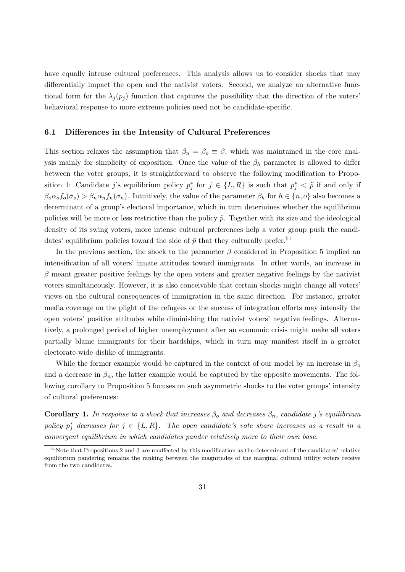have equally intense cultural preferences. This analysis allows us to consider shocks that may differentially impact the open and the nativist voters. Second, we analyze an alternative functional form for the  $\lambda_i(p_i)$  function that captures the possibility that the direction of the voters' behavioral response to more extreme policies need not be candidate-specific.

#### 6.1 Differences in the Intensity of Cultural Preferences

This section relaxes the assumption that  $\beta_n = \beta_0 \equiv \beta$ , which was maintained in the core analysis mainly for simplicity of exposition. Once the value of the  $\beta_h$  parameter is allowed to differ between the voter groups, it is straightforward to observe the following modification to Proposition 1: Candidate j's equilibrium policy  $p_j^*$  for  $j \in \{L, R\}$  is such that  $p_j^* < \tilde{p}$  if and only if  $\beta_0 \alpha_0 f_0(\bar{\sigma}_0) > \beta_n \alpha_n f_n(\bar{\sigma}_n)$ . Intuitively, the value of the parameter  $\beta_h$  for  $h \in \{n, o\}$  also becomes a determinant of a group's electoral importance, which in turn determines whether the equilibrium policies will be more or less restrictive than the policy  $\tilde{p}$ . Together with its size and the ideological density of its swing voters, more intense cultural preferences help a voter group push the candidates' equilibrium policies toward the side of  $\tilde{p}$  that they culturally prefer.<sup>51</sup>

In the previous section, the shock to the parameter  $\beta$  considered in Proposition 5 implied an intensification of all voters' innate attitudes toward immigrants. In other words, an increase in  $\beta$  meant greater positive feelings by the open voters and greater negative feelings by the nativist voters simultaneously. However, it is also conceivable that certain shocks might change all voters' views on the cultural consequences of immigration in the same direction. For instance, greater media coverage on the plight of the refugees or the success of integration efforts may intensify the open voters' positive attitudes while diminishing the nativist voters' negative feelings. Alternatively, a prolonged period of higher unemployment after an economic crisis might make all voters partially blame immigrants for their hardships, which in turn may manifest itself in a greater electorate-wide dislike of immigrants.

While the former example would be captured in the context of our model by an increase in  $\beta_o$ and a decrease in  $\beta_n$ , the latter example would be captured by the opposite movements. The following corollary to Proposition 5 focuses on such asymmetric shocks to the voter groups' intensity of cultural preferences:

**Corollary 1.** In response to a shock that increases  $\beta_0$  and decreases  $\beta_n$ , candidate j's equilibrium policy  $p_j^*$  decreases for  $j \in \{L, R\}$ . The open candidate's vote share increases as a result in a convergent equilibrium in which candidates pander relatively more to their own base.

 $51$ Note that Propositions 2 and 3 are unaffected by this modification as the determinant of the candidates' relative equilibrium pandering remains the ranking between the magnitudes of the marginal cultural utility voters receive from the two candidates.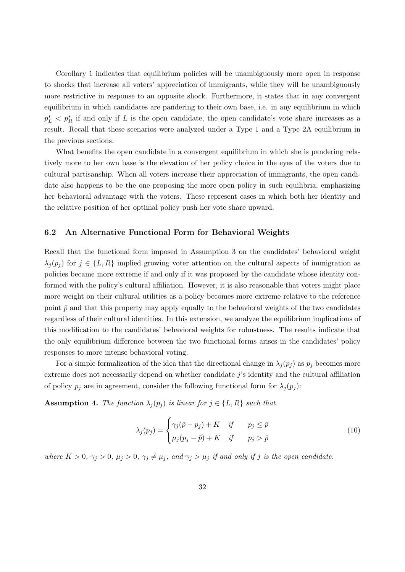Corollary 1 indicates that equilibrium policies will be unambiguously more open in response to shocks that increase all voters' appreciation of immigrants, while they will be unambiguously more restrictive in response to an opposite shock. Furthermore, it states that in any convergent equilibrium in which candidates are pandering to their own base, i.e. in any equilibrium in which  $p_L^*$   $\lt p_R^*$  if and only if L is the open candidate, the open candidate's vote share increases as a result. Recall that these scenarios were analyzed under a Type 1 and a Type 2A equilibrium in the previous sections.

What benefits the open candidate in a convergent equilibrium in which she is pandering relatively more to her own base is the elevation of her policy choice in the eyes of the voters due to cultural partisanship. When all voters increase their appreciation of immigrants, the open candidate also happens to be the one proposing the more open policy in such equilibria, emphasizing her behavioral advantage with the voters. These represent cases in which both her identity and the relative position of her optimal policy push her vote share upward.

#### 6.2 An Alternative Functional Form for Behavioral Weights

Recall that the functional form imposed in Assumption 3 on the candidates' behavioral weight  $\lambda_j(p_j)$  for  $j \in \{L, R\}$  implied growing voter attention on the cultural aspects of immigration as policies became more extreme if and only if it was proposed by the candidate whose identity conformed with the policy's cultural affiliation. However, it is also reasonable that voters might place more weight on their cultural utilities as a policy becomes more extreme relative to the reference point  $\bar{p}$  and that this property may apply equally to the behavioral weights of the two candidates regardless of their cultural identities. In this extension, we analyze the equilibrium implications of this modification to the candidates' behavioral weights for robustness. The results indicate that the only equilibrium difference between the two functional forms arises in the candidates' policy responses to more intense behavioral voting.

For a simple formalization of the idea that the directional change in  $\lambda_j(p_j)$  as  $p_j$  becomes more extreme does not necessarily depend on whether candidate  $j$ 's identity and the cultural affiliation of policy  $p_i$  are in agreement, consider the following functional form for  $\lambda_i(p_i)$ :

**Assumption 4.** The function  $\lambda_j(p_j)$  is linear for  $j \in \{L, R\}$  such that

$$
\lambda_j(p_j) = \begin{cases} \gamma_j(\bar{p} - p_j) + K & \text{if } p_j \leq \bar{p} \\ \mu_j(p_j - \bar{p}) + K & \text{if } p_j > \bar{p} \end{cases}
$$
(10)

where  $K > 0$ ,  $\gamma_j > 0$ ,  $\mu_j > 0$ ,  $\gamma_j \neq \mu_j$ , and  $\gamma_j > \mu_j$  if and only if j is the open candidate.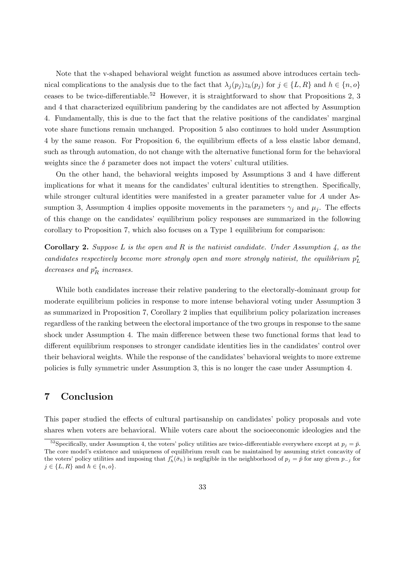Note that the v-shaped behavioral weight function as assumed above introduces certain technical complications to the analysis due to the fact that  $\lambda_i(p_i)z_h(p_i)$  for  $j \in \{L, R\}$  and  $h \in \{n, o\}$ ceases to be twice-differentiable.<sup>52</sup> However, it is straightforward to show that Propositions 2, 3 and 4 that characterized equilibrium pandering by the candidates are not affected by Assumption 4. Fundamentally, this is due to the fact that the relative positions of the candidates' marginal vote share functions remain unchanged. Proposition 5 also continues to hold under Assumption 4 by the same reason. For Proposition 6, the equilibrium effects of a less elastic labor demand, such as through automation, do not change with the alternative functional form for the behavioral weights since the  $\delta$  parameter does not impact the voters' cultural utilities.

On the other hand, the behavioral weights imposed by Assumptions 3 and 4 have different implications for what it means for the candidates' cultural identities to strengthen. Specifically, while stronger cultural identities were manifested in a greater parameter value for A under Assumption 3, Assumption 4 implies opposite movements in the parameters  $\gamma_i$  and  $\mu_j$ . The effects of this change on the candidates' equilibrium policy responses are summarized in the following corollary to Proposition 7, which also focuses on a Type 1 equilibrium for comparison:

**Corollary 2.** Suppose L is the open and R is the nativist candidate. Under Assumption 4, as the candidates respectively become more strongly open and more strongly nativist, the equilibrium  $p_L^*$ decreases and  $p_R^\ast$  increases.

While both candidates increase their relative pandering to the electorally-dominant group for moderate equilibrium policies in response to more intense behavioral voting under Assumption 3 as summarized in Proposition 7, Corollary 2 implies that equilibrium policy polarization increases regardless of the ranking between the electoral importance of the two groups in response to the same shock under Assumption 4. The main difference between these two functional forms that lead to different equilibrium responses to stronger candidate identities lies in the candidates' control over their behavioral weights. While the response of the candidates' behavioral weights to more extreme policies is fully symmetric under Assumption 3, this is no longer the case under Assumption 4.

# 7 Conclusion

This paper studied the effects of cultural partisanship on candidates' policy proposals and vote shares when voters are behavioral. While voters care about the socioeconomic ideologies and the

<sup>&</sup>lt;sup>52</sup>Specifically, under Assumption 4, the voters' policy utilities are twice-differentiable everywhere except at  $p_j = \bar{p}$ . The core model's existence and uniqueness of equilibrium result can be maintained by assuming strict concavity of the voters' policy utilities and imposing that  $f'_h(\bar{\sigma}_h)$  is negligible in the neighborhood of  $p_j = \bar{p}$  for any given  $p_{-j}$  for  $j \in \{L, R\}$  and  $h \in \{n, o\}$ .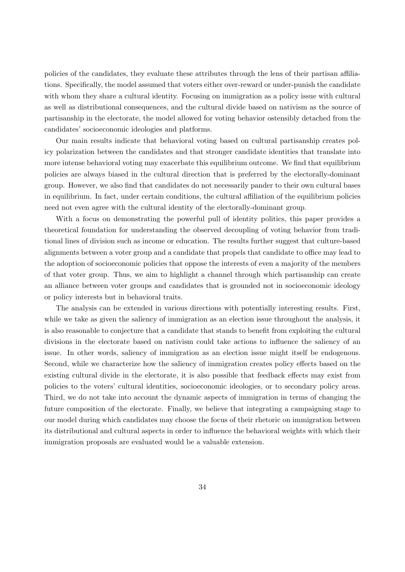policies of the candidates, they evaluate these attributes through the lens of their partisan affiliations. Specifically, the model assumed that voters either over-reward or under-punish the candidate with whom they share a cultural identity. Focusing on immigration as a policy issue with cultural as well as distributional consequences, and the cultural divide based on nativism as the source of partisanship in the electorate, the model allowed for voting behavior ostensibly detached from the candidates' socioeconomic ideologies and platforms.

Our main results indicate that behavioral voting based on cultural partisanship creates policy polarization between the candidates and that stronger candidate identities that translate into more intense behavioral voting may exacerbate this equilibrium outcome. We find that equilibrium policies are always biased in the cultural direction that is preferred by the electorally-dominant group. However, we also find that candidates do not necessarily pander to their own cultural bases in equilibrium. In fact, under certain conditions, the cultural affiliation of the equilibrium policies need not even agree with the cultural identity of the electorally-dominant group.

With a focus on demonstrating the powerful pull of identity politics, this paper provides a theoretical foundation for understanding the observed decoupling of voting behavior from traditional lines of division such as income or education. The results further suggest that culture-based alignments between a voter group and a candidate that propels that candidate to office may lead to the adoption of socioeconomic policies that oppose the interests of even a majority of the members of that voter group. Thus, we aim to highlight a channel through which partisanship can create an alliance between voter groups and candidates that is grounded not in socioeconomic ideology or policy interests but in behavioral traits.

The analysis can be extended in various directions with potentially interesting results. First, while we take as given the saliency of immigration as an election issue throughout the analysis, it is also reasonable to conjecture that a candidate that stands to benefit from exploiting the cultural divisions in the electorate based on nativism could take actions to influence the saliency of an issue. In other words, saliency of immigration as an election issue might itself be endogenous. Second, while we characterize how the saliency of immigration creates policy effects based on the existing cultural divide in the electorate, it is also possible that feedback effects may exist from policies to the voters' cultural identities, socioeconomic ideologies, or to secondary policy areas. Third, we do not take into account the dynamic aspects of immigration in terms of changing the future composition of the electorate. Finally, we believe that integrating a campaigning stage to our model during which candidates may choose the focus of their rhetoric on immigration between its distributional and cultural aspects in order to influence the behavioral weights with which their immigration proposals are evaluated would be a valuable extension.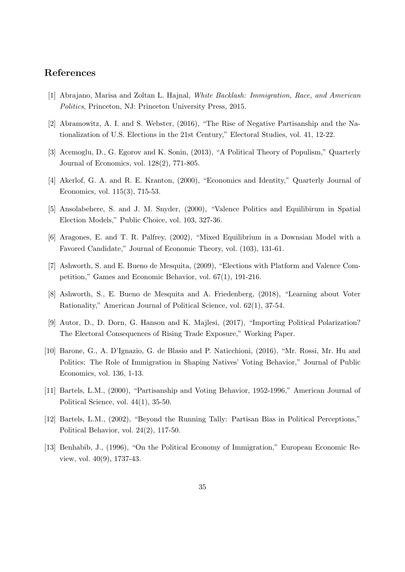# References

- [1] Abrajano, Marisa and Zoltan L. Hajnal, White Backlash: Immigration, Race, and American Politics, Princeton, NJ: Princeton University Press, 2015.
- [2] Abramowitz, A. I. and S. Webster, (2016), "The Rise of Negative Partisanship and the Nationalization of U.S. Elections in the 21st Century," Electoral Studies, vol. 41, 12-22.
- [3] Acemoglu, D., G. Egorov and K. Sonin, (2013), "A Political Theory of Populism," Quarterly Journal of Economics, vol. 128(2), 771-805.
- [4] Akerlof, G. A. and R. E. Kranton, (2000), "Economics and Identity," Quarterly Journal of Economics, vol. 115(3), 715-53.
- [5] Ansolabehere, S. and J. M. Snyder, (2000), "Valence Politics and Equilibirum in Spatial Election Models," Public Choice, vol. 103, 327-36.
- [6] Aragones, E. and T. R. Palfrey, (2002), "Mixed Equilibrium in a Downsian Model with a Favored Candidate," Journal of Economic Theory, vol. (103), 131-61.
- [7] Ashworth, S. and E. Bueno de Mesquita, (2009), "Elections with Platform and Valence Competition," Games and Economic Behavior, vol. 67(1), 191-216.
- [8] Ashworth, S., E. Bueno de Mesquita and A. Friedenberg, (2018), "Learning about Voter Rationality," American Journal of Political Science, vol. 62(1), 37-54.
- [9] Autor, D., D. Dorn, G. Hanson and K. Majlesi, (2017), "Importing Political Polarization? The Electoral Consequences of Rising Trade Exposure," Working Paper.
- [10] Barone, G., A. D'Ignazio, G. de Blasio and P. Naticchioni, (2016), "Mr. Rossi, Mr. Hu and Politics: The Role of Immigration in Shaping Natives' Voting Behavior," Journal of Public Economics, vol. 136, 1-13.
- [11] Bartels, L.M., (2000), "Partisanship and Voting Behavior, 1952-1996," American Journal of Political Science, vol.  $44(1)$ , 35-50.
- [12] Bartels, L.M., (2002), "Beyond the Running Tally: Partisan Bias in Political Perceptions," Political Behavior, vol. 24(2), 117-50.
- [13] Benhabib, J., (1996), "On the Political Economy of Immigration," European Economic Review, vol. 40(9), 1737-43.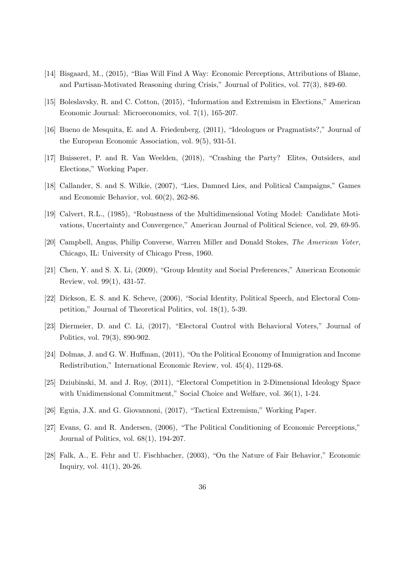- [14] Bisgaard, M., (2015), "Bias Will Find A Way: Economic Perceptions, Attributions of Blame, and Partisan-Motivated Reasoning during Crisis," Journal of Politics, vol. 77(3), 849-60.
- [15] Boleslavsky, R. and C. Cotton, (2015), "Information and Extremism in Elections," American Economic Journal: Microeconomics, vol. 7(1), 165-207.
- [16] Bueno de Mesquita, E. and A. Friedenberg, (2011), "Ideologues or Pragmatists?," Journal of the European Economic Association, vol. 9(5), 931-51.
- [17] Buisseret, P. and R. Van Weelden, (2018), "Crashing the Party? Elites, Outsiders, and Elections," Working Paper.
- [18] Callander, S. and S. Wilkie, (2007), "Lies, Damned Lies, and Political Campaigns," Games and Economic Behavior, vol. 60(2), 262-86.
- [19] Calvert, R.L., (1985), "Robustness of the Multidimensional Voting Model: Candidate Motivations, Uncertainty and Convergence," American Journal of Political Science, vol. 29, 69-95.
- [20] Campbell, Angus, Philip Converse, Warren Miller and Donald Stokes, The American Voter, Chicago, IL: University of Chicago Press, 1960.
- [21] Chen, Y. and S. X. Li, (2009), "Group Identity and Social Preferences," American Economic Review, vol. 99(1), 431-57.
- [22] Dickson, E. S. and K. Scheve, (2006), "Social Identity, Political Speech, and Electoral Competition," Journal of Theoretical Politics, vol. 18(1), 5-39.
- [23] Diermeier, D. and C. Li, (2017), "Electoral Control with Behavioral Voters," Journal of Politics, vol. 79(3), 890-902.
- [24] Dolmas, J. and G. W. Huffman, (2011), "On the Political Economy of Immigration and Income Redistribution," International Economic Review, vol. 45(4), 1129-68.
- [25] Dziubinski, M. and J. Roy, (2011), "Electoral Competition in 2-Dimensional Ideology Space with Unidimensional Commitment," Social Choice and Welfare, vol. 36(1), 1-24.
- [26] Eguia, J.X. and G. Giovannoni, (2017), "Tactical Extremism," Working Paper.
- [27] Evans, G. and R. Andersen, (2006), "The Political Conditioning of Economic Perceptions," Journal of Politics, vol. 68(1), 194-207.
- [28] Falk, A., E. Fehr and U. Fischbacher, (2003), "On the Nature of Fair Behavior," Economic Inquiry, vol. 41(1), 20-26.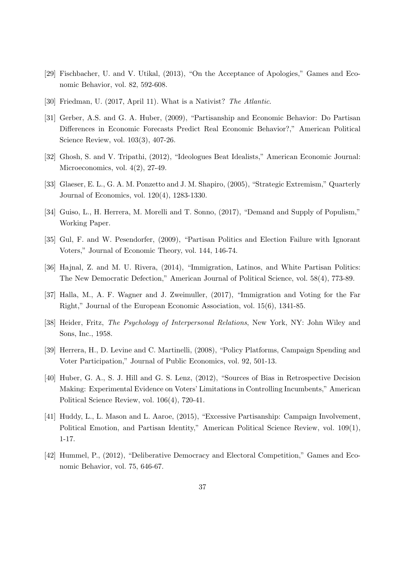- [29] Fischbacher, U. and V. Utikal, (2013), "On the Acceptance of Apologies," Games and Economic Behavior, vol. 82, 592-608.
- [30] Friedman, U. (2017, April 11). What is a Nativist? The Atlantic.
- [31] Gerber, A.S. and G. A. Huber, (2009), "Partisanship and Economic Behavior: Do Partisan Differences in Economic Forecasts Predict Real Economic Behavior?," American Political Science Review, vol. 103(3), 407-26.
- [32] Ghosh, S. and V. Tripathi, (2012), "Ideologues Beat Idealists," American Economic Journal: Microeconomics, vol. 4(2), 27-49.
- [33] Glaeser, E. L., G. A. M. Ponzetto and J. M. Shapiro, (2005), "Strategic Extremism," Quarterly Journal of Economics, vol. 120(4), 1283-1330.
- [34] Guiso, L., H. Herrera, M. Morelli and T. Sonno, (2017), "Demand and Supply of Populism," Working Paper.
- [35] Gul, F. and W. Pesendorfer, (2009), "Partisan Politics and Election Failure with Ignorant Voters," Journal of Economic Theory, vol. 144, 146-74.
- [36] Hajnal, Z. and M. U. Rivera, (2014), "Immigration, Latinos, and White Partisan Politics: The New Democratic Defection," American Journal of Political Science, vol. 58(4), 773-89.
- [37] Halla, M., A. F. Wagner and J. Zweimuller, (2017), "Immigration and Voting for the Far Right," Journal of the European Economic Association, vol. 15(6), 1341-85.
- [38] Heider, Fritz, The Psychology of Interpersonal Relations, New York, NY: John Wiley and Sons, Inc., 1958.
- [39] Herrera, H., D. Levine and C. Martinelli, (2008), "Policy Platforms, Campaign Spending and Voter Participation," Journal of Public Economics, vol. 92, 501-13.
- [40] Huber, G. A., S. J. Hill and G. S. Lenz, (2012), "Sources of Bias in Retrospective Decision Making: Experimental Evidence on Voters' Limitations in Controlling Incumbents," American Political Science Review, vol. 106(4), 720-41.
- [41] Huddy, L., L. Mason and L. Aaroe, (2015), "Excessive Partisanship: Campaign Involvement, Political Emotion, and Partisan Identity," American Political Science Review, vol. 109(1), 1-17.
- [42] Hummel, P., (2012), "Deliberative Democracy and Electoral Competition," Games and Economic Behavior, vol. 75, 646-67.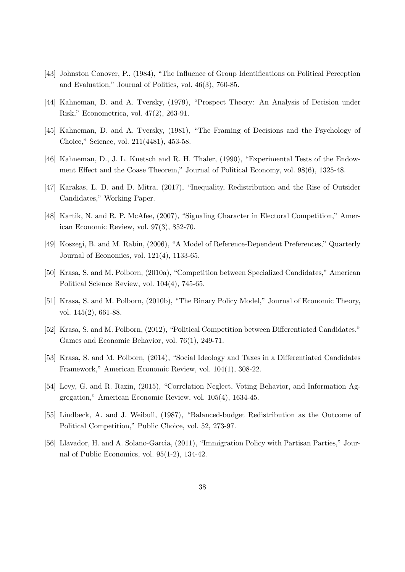- [43] Johnston Conover, P., (1984), "The Influence of Group Identifications on Political Perception and Evaluation," Journal of Politics, vol. 46(3), 760-85.
- [44] Kahneman, D. and A. Tversky, (1979), "Prospect Theory: An Analysis of Decision under Risk," Econometrica, vol. 47(2), 263-91.
- [45] Kahneman, D. and A. Tversky, (1981), "The Framing of Decisions and the Psychology of Choice," Science, vol. 211(4481), 453-58.
- [46] Kahneman, D., J. L. Knetsch and R. H. Thaler, (1990), "Experimental Tests of the Endowment Effect and the Coase Theorem," Journal of Political Economy, vol. 98(6), 1325-48.
- [47] Karakas, L. D. and D. Mitra, (2017), "Inequality, Redistribution and the Rise of Outsider Candidates," Working Paper.
- [48] Kartik, N. and R. P. McAfee, (2007), "Signaling Character in Electoral Competition," American Economic Review, vol. 97(3), 852-70.
- [49] Koszegi, B. and M. Rabin, (2006), "A Model of Reference-Dependent Preferences," Quarterly Journal of Economics, vol. 121(4), 1133-65.
- [50] Krasa, S. and M. Polborn, (2010a), "Competition between Specialized Candidates," American Political Science Review, vol. 104(4), 745-65.
- [51] Krasa, S. and M. Polborn, (2010b), "The Binary Policy Model," Journal of Economic Theory, vol. 145(2), 661-88.
- [52] Krasa, S. and M. Polborn, (2012), "Political Competition between Differentiated Candidates," Games and Economic Behavior, vol. 76(1), 249-71.
- [53] Krasa, S. and M. Polborn, (2014), "Social Ideology and Taxes in a Differentiated Candidates Framework," American Economic Review, vol. 104(1), 308-22.
- [54] Levy, G. and R. Razin, (2015), "Correlation Neglect, Voting Behavior, and Information Aggregation," American Economic Review, vol. 105(4), 1634-45.
- [55] Lindbeck, A. and J. Weibull, (1987), "Balanced-budget Redistribution as the Outcome of Political Competition," Public Choice, vol. 52, 273-97.
- [56] Llavador, H. and A. Solano-Garcia, (2011), "Immigration Policy with Partisan Parties," Journal of Public Economics, vol. 95(1-2), 134-42.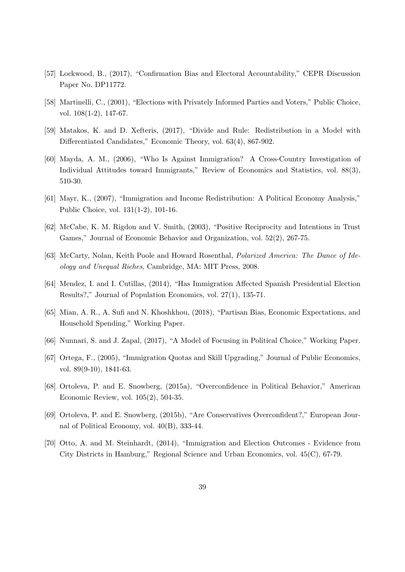- [57] Lockwood, B., (2017), "Confirmation Bias and Electoral Accountability," CEPR Discussion Paper No. DP11772.
- [58] Martinelli, C., (2001), "Elections with Privately Informed Parties and Voters," Public Choice, vol. 108(1-2), 147-67.
- [59] Matakos, K. and D. Xefteris, (2017), "Divide and Rule: Redistribution in a Model with Differentiated Candidates," Economic Theory, vol. 63(4), 867-902.
- [60] Mayda, A. M., (2006), "Who Is Against Immigration? A Cross-Country Investigation of Individual Attitudes toward Immigrants," Review of Economics and Statistics, vol. 88(3), 510-30.
- [61] Mayr, K., (2007), "Immigration and Income Redistribution: A Political Economy Analysis," Public Choice, vol. 131(1-2), 101-16.
- [62] McCabe, K. M. Rigdon and V. Smith, (2003), "Positive Reciprocity and Intentions in Trust Games," Journal of Economic Behavior and Organization, vol. 52(2), 267-75.
- [63] McCarty, Nolan, Keith Poole and Howard Rosenthal, Polarized America: The Dance of Ideology and Unequal Riches, Cambridge, MA: MIT Press, 2008.
- [64] Mendez, I. and I. Cutillas, (2014), "Has Immigration Affected Spanish Presidential Election Results?," Journal of Population Economics, vol. 27(1), 135-71.
- [65] Mian, A. R., A. Sufi and N. Khoshkhou, (2018), "Partisan Bias, Economic Expectations, and Household Spending," Working Paper.
- [66] Nunnari, S. and J. Zapal, (2017), "A Model of Focusing in Political Choice," Working Paper.
- [67] Ortega, F., (2005), "Immigration Quotas and Skill Upgrading," Journal of Public Economics, vol. 89(9-10), 1841-63.
- [68] Ortoleva, P. and E. Snowberg, (2015a), "Overconfidence in Political Behavior," American Economic Review, vol. 105(2), 504-35.
- [69] Ortoleva, P. and E. Snowberg, (2015b), "Are Conservatives Overconfident?," European Journal of Political Economy, vol. 40(B), 333-44.
- [70] Otto, A. and M. Steinhardt, (2014), "Immigration and Election Outcomes Evidence from City Districts in Hamburg," Regional Science and Urban Economics, vol. 45(C), 67-79.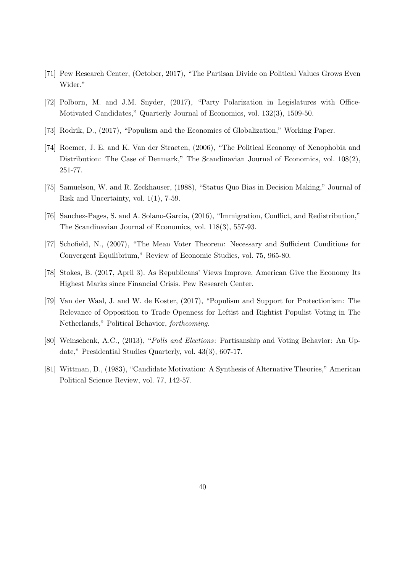- [71] Pew Research Center, (October, 2017), "The Partisan Divide on Political Values Grows Even Wider."
- [72] Polborn, M. and J.M. Snyder, (2017), "Party Polarization in Legislatures with Office-Motivated Candidates," Quarterly Journal of Economics, vol. 132(3), 1509-50.
- [73] Rodrik, D., (2017), "Populism and the Economics of Globalization," Working Paper.
- [74] Roemer, J. E. and K. Van der Straeten, (2006), "The Political Economy of Xenophobia and Distribution: The Case of Denmark," The Scandinavian Journal of Economics, vol. 108(2), 251-77.
- [75] Samuelson, W. and R. Zeckhauser, (1988), "Status Quo Bias in Decision Making," Journal of Risk and Uncertainty, vol. 1(1), 7-59.
- [76] Sanchez-Pages, S. and A. Solano-Garcia, (2016), "Immigration, Conflict, and Redistribution," The Scandinavian Journal of Economics, vol. 118(3), 557-93.
- [77] Schofield, N., (2007), "The Mean Voter Theorem: Necessary and Sufficient Conditions for Convergent Equilibrium," Review of Economic Studies, vol. 75, 965-80.
- [78] Stokes, B. (2017, April 3). As Republicans' Views Improve, American Give the Economy Its Highest Marks since Financial Crisis. Pew Research Center.
- [79] Van der Waal, J. and W. de Koster, (2017), "Populism and Support for Protectionism: The Relevance of Opposition to Trade Openness for Leftist and Rightist Populist Voting in The Netherlands," Political Behavior, forthcoming.
- [80] Weinschenk, A.C., (2013), "Polls and Elections: Partisanship and Voting Behavior: An Update," Presidential Studies Quarterly, vol. 43(3), 607-17.
- [81] Wittman, D., (1983), "Candidate Motivation: A Synthesis of Alternative Theories," American Political Science Review, vol. 77, 142-57.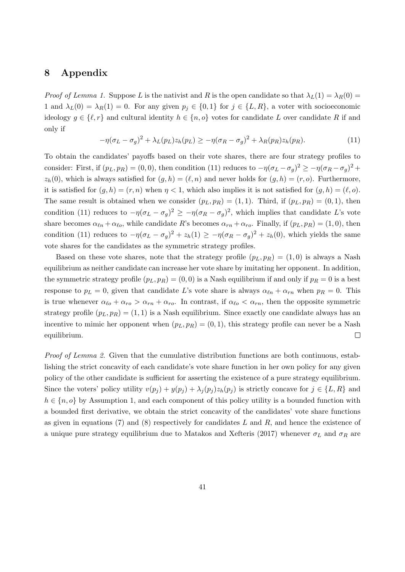## 8 Appendix

Proof of Lemma 1. Suppose L is the nativist and R is the open candidate so that  $\lambda_L(1) = \lambda_R(0) =$ 1 and  $\lambda_L(0) = \lambda_R(1) = 0$ . For any given  $p_j \in \{0,1\}$  for  $j \in \{L, R\}$ , a voter with socioeconomic ideology  $q \in \{\ell, r\}$  and cultural identity  $h \in \{n, o\}$  votes for candidate L over candidate R if and only if

$$
-\eta(\sigma_L - \sigma_g)^2 + \lambda_L(p_L)z_h(p_L) \ge -\eta(\sigma_R - \sigma_g)^2 + \lambda_R(p_R)z_h(p_R). \tag{11}
$$

To obtain the candidates' payoffs based on their vote shares, there are four strategy profiles to consider: First, if  $(p_L, p_R) = (0, 0)$ , then condition (11) reduces to  $-\eta(\sigma_L - \sigma_g)^2 \ge -\eta(\sigma_R - \sigma_g)^2 +$  $z_h(0)$ , which is always satisfied for  $(g, h) = (\ell, n)$  and never holds for  $(g, h) = (r, o)$ . Furthermore, it is satisfied for  $(q, h) = (r, n)$  when  $\eta < 1$ , which also implies it is not satisfied for  $(q, h) = (\ell, o)$ . The same result is obtained when we consider  $(p_L, p_R) = (1, 1)$ . Third, if  $(p_L, p_R) = (0, 1)$ , then condition (11) reduces to  $-\eta(\sigma_L - \sigma_g)^2 \ge -\eta(\sigma_R - \sigma_g)^2$ , which implies that candidate L's vote share becomes  $\alpha_{\ell n} + \alpha_{\ell o}$ , while candidate R's becomes  $\alpha_{rn} + \alpha_{ro}$ . Finally, if  $(p_L, p_R) = (1, 0)$ , then condition (11) reduces to  $-\eta(\sigma_L - \sigma_g)^2 + z_h(1) \ge -\eta(\sigma_R - \sigma_g)^2 + z_h(0)$ , which yields the same vote shares for the candidates as the symmetric strategy profiles.

Based on these vote shares, note that the strategy profile  $(p_L, p_R) = (1, 0)$  is always a Nash equilibrium as neither candidate can increase her vote share by imitating her opponent. In addition, the symmetric strategy profile  $(p_L, p_R) = (0, 0)$  is a Nash equilibrium if and only if  $p_R = 0$  is a best response to  $p_L = 0$ , given that candidate L's vote share is always  $\alpha_{\ell n} + \alpha_{rn}$  when  $p_R = 0$ . This is true whenever  $\alpha_{\ell o} + \alpha_{ro} > \alpha_{rn} + \alpha_{ro}$ . In contrast, if  $\alpha_{\ell o} < \alpha_{rn}$ , then the opposite symmetric strategy profile  $(p_L, p_R) = (1, 1)$  is a Nash equilibrium. Since exactly one candidate always has an incentive to mimic her opponent when  $(p_L, p_R) = (0, 1)$ , this strategy profile can never be a Nash equilibrium.  $\Box$ 

Proof of Lemma 2. Given that the cumulative distribution functions are both continuous, establishing the strict concavity of each candidate's vote share function in her own policy for any given policy of the other candidate is sufficient for asserting the existence of a pure strategy equilibrium. Since the voters' policy utility  $v(p_i) + y(p_i) + \lambda_i(p_i)z_h(p_i)$  is strictly concave for  $j \in \{L, R\}$  and  $h \in \{n, o\}$  by Assumption 1, and each component of this policy utility is a bounded function with a bounded first derivative, we obtain the strict concavity of the candidates' vote share functions as given in equations (7) and (8) respectively for candidates L and R, and hence the existence of a unique pure strategy equilibrium due to Matakos and Xefteris (2017) whenever  $\sigma_L$  and  $\sigma_R$  are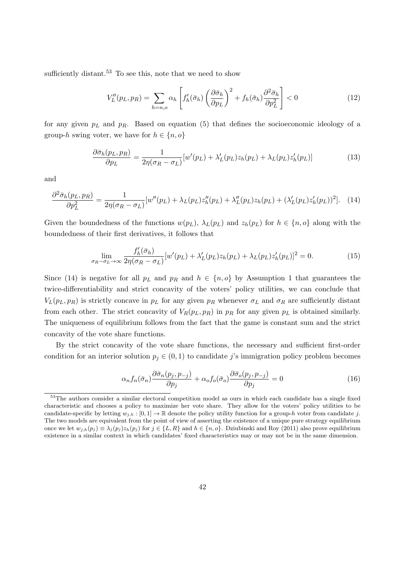sufficiently distant.<sup>53</sup> To see this, note that we need to show

$$
V_L''(p_L, p_R) = \sum_{h=n,o} \alpha_h \left[ f'_h(\bar{\sigma}_h) \left( \frac{\partial \bar{\sigma}_h}{\partial p_L} \right)^2 + f_h(\bar{\sigma}_h) \frac{\partial^2 \bar{\sigma}_h}{\partial p_L^2} \right] < 0 \tag{12}
$$

for any given  $p_L$  and  $p_R$ . Based on equation (5) that defines the socioeconomic ideology of a group-h swing voter, we have for  $h \in \{n, o\}$ 

$$
\frac{\partial \bar{\sigma}_h(p_L, p_R)}{\partial p_L} = \frac{1}{2\eta(\sigma_R - \sigma_L)} [w'(p_L) + \lambda'_L(p_L)z_h(p_L) + \lambda_L(p_L)z'_h(p_L)] \tag{13}
$$

and

$$
\frac{\partial^2 \bar{\sigma}_h(p_L, p_R)}{\partial p_L^2} = \frac{1}{2\eta(\sigma_R - \sigma_L)} [w''(p_L) + \lambda_L(p_L) z_h''(p_L) + \lambda_L''(p_L) z_h(p_L) + (\lambda_L'(p_L) z_h'(p_L))^2]. \tag{14}
$$

Given the boundedness of the functions  $w(p_L)$ ,  $\lambda_L(p_L)$  and  $z_h(p_L)$  for  $h \in \{n, o\}$  along with the boundedness of their first derivatives, it follows that

$$
\lim_{\sigma_R - \sigma_L \to \infty} \frac{f'_h(\bar{\sigma}_h)}{2\eta(\sigma_R - \sigma_L)} [w'(p_L) + \lambda'_L(p_L)z_h(p_L) + \lambda_L(p_L)z'_h(p_L)]^2 = 0.
$$
\n(15)

Since (14) is negative for all  $p<sub>L</sub>$  and  $p<sub>R</sub>$  and  $h \in \{n, o\}$  by Assumption 1 that guarantees the twice-differentiability and strict concavity of the voters' policy utilities, we can conclude that  $V_L(p_L, p_R)$  is strictly concave in  $p_L$  for any given  $p_R$  whenever  $\sigma_L$  and  $\sigma_R$  are sufficiently distant from each other. The strict concavity of  $V_R(p_L, p_R)$  in  $p_R$  for any given  $p_L$  is obtained similarly. The uniqueness of equilibrium follows from the fact that the game is constant sum and the strict concavity of the vote share functions.

By the strict concavity of the vote share functions, the necessary and sufficient first-order condition for an interior solution  $p_j \in (0,1)$  to candidate j's immigration policy problem becomes

$$
\alpha_n f_n(\bar{\sigma}_n) \frac{\partial \bar{\sigma}_n(p_j, p_{-j})}{\partial p_j} + \alpha_o f_o(\bar{\sigma}_o) \frac{\partial \bar{\sigma}_o(p_j, p_{-j})}{\partial p_j} = 0 \tag{16}
$$

<sup>&</sup>lt;sup>53</sup>The authors consider a similar electoral competition model as ours in which each candidate has a single fixed characteristic and chooses a policy to maximize her vote share. They allow for the voters' policy utilities to be candidate-specific by letting  $w_{i,h} : [0,1] \to \mathbb{R}$  denote the policy utility function for a group-h voter from candidate j. The two models are equivalent from the point of view of asserting the existence of a unique pure strategy equilibrium once we let  $w_{j,h}(p_j) \equiv \lambda_j(p_j) z_h(p_j)$  for  $j \in \{L, R\}$  and  $h \in \{n, o\}$ . Dziubinski and Roy (2011) also prove equilibrium existence in a similar context in which candidates' fixed characteristics may or may not be in the same dimension.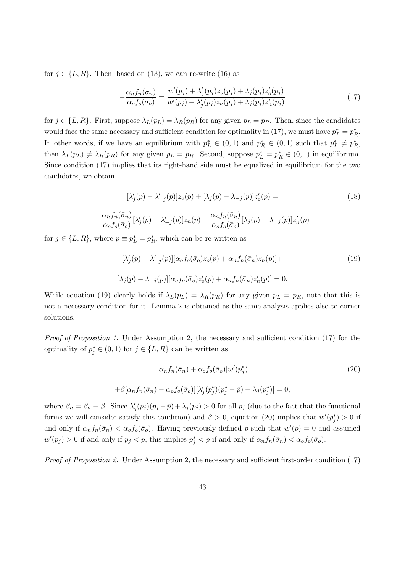for  $j \in \{L, R\}$ . Then, based on (13), we can re-write (16) as

$$
-\frac{\alpha_n f_n(\bar{\sigma}_n)}{\alpha_o f_o(\bar{\sigma}_o)} = \frac{w'(p_j) + \lambda_j'(p_j)z_o(p_j) + \lambda_j(p_j)z_o'(p_j)}{w'(p_j) + \lambda_j'(p_j)z_n(p_j) + \lambda_j(p_j)z_n'(p_j)}
$$
(17)

for  $j \in \{L, R\}$ . First, suppose  $\lambda_L(p_L) = \lambda_R(p_R)$  for any given  $p_L = p_R$ . Then, since the candidates would face the same necessary and sufficient condition for optimality in (17), we must have  $p_L^* = p_R^*$ . In other words, if we have an equilibrium with  $p_L^* \in (0,1)$  and  $p_R^* \in (0,1)$  such that  $p_L^* \neq p_R^*$ , then  $\lambda_L(p_L) \neq \lambda_R(p_R)$  for any given  $p_L = p_R$ . Second, suppose  $p_L^* = p_R^* \in (0,1)$  in equilibrium. Since condition (17) implies that its right-hand side must be equalized in equilibrium for the two candidates, we obtain

$$
[\lambda'_j(p) - \lambda'_{-j}(p)]z_o(p) + [\lambda_j(p) - \lambda_{-j}(p)]z'_o(p) = \tag{18}
$$

$$
-\frac{\alpha_n f_n(\bar{\sigma}_n)}{\alpha_o f_o(\bar{\sigma}_o)}[\lambda_j'(p) - \lambda_{-j}'(p)]z_n(p) - \frac{\alpha_n f_n(\bar{\sigma}_n)}{\alpha_o f_o(\bar{\sigma}_o)}[\lambda_j(p) - \lambda_{-j}(p)]z_n'(p)
$$

for  $j \in \{L, R\}$ , where  $p \equiv p_L^* = p_R^*$ , which can be re-written as

$$
[\lambda'_j(p) - \lambda'_{-j}(p)][\alpha_o f_o(\bar{\sigma}_o) z_o(p) + \alpha_n f_n(\bar{\sigma}_n) z_n(p)] +
$$
  

$$
[\lambda_j(p) - \lambda_{-j}(p)][\alpha_o f_o(\bar{\sigma}_o) z'_o(p) + \alpha_n f_n(\bar{\sigma}_n) z'_n(p)] = 0.
$$
 (19)

While equation (19) clearly holds if  $\lambda_L(p_L) = \lambda_R(p_R)$  for any given  $p_L = p_R$ , note that this is not a necessary condition for it. Lemma 2 is obtained as the same analysis applies also to corner solutions.  $\Box$ 

Proof of Proposition 1. Under Assumption 2, the necessary and sufficient condition (17) for the optimality of  $p_j^* \in (0,1)$  for  $j \in \{L,R\}$  can be written as

$$
[\alpha_n f_n(\bar{\sigma}_n) + \alpha_o f_o(\bar{\sigma}_o)] w'(p_j^*)
$$
  
+
$$
\beta[\alpha_n f_n(\bar{\sigma}_n) - \alpha_o f_o(\bar{\sigma}_o)][\lambda_j'(p_j^*)(p_j^* - \bar{p}) + \lambda_j(p_j^*)] = 0,
$$
\n(20)

where  $\beta_n = \beta_o \equiv \beta$ . Since  $\lambda'_j(p_j)(p_j - \bar{p}) + \lambda_j(p_j) > 0$  for all  $p_j$  (due to the fact that the functional forms we will consider satisfy this condition) and  $\beta > 0$ , equation (20) implies that  $w'(p_j^*) > 0$  if and only if  $\alpha_n f_n(\bar{\sigma}_n) < \alpha_o f_o(\bar{\sigma}_o)$ . Having previously defined  $\tilde{p}$  such that  $w'(\tilde{p}) = 0$  and assumed  $w'(p_j) > 0$  if and only if  $p_j < \tilde{p}$ , this implies  $p_j^* < \tilde{p}$  if and only if  $\alpha_n f_n(\bar{\sigma}_n) < \alpha_o f_o(\bar{\sigma}_o)$ .  $\Box$ 

Proof of Proposition 2. Under Assumption 2, the necessary and sufficient first-order condition (17)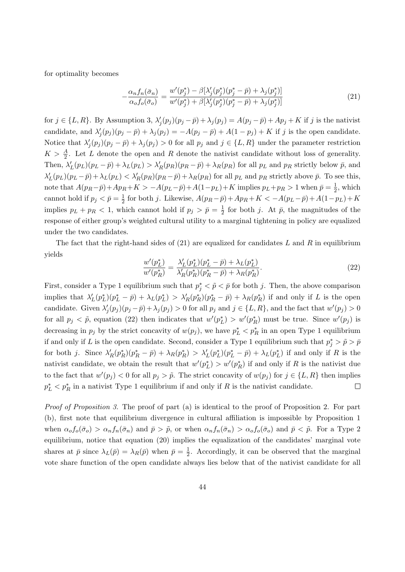for optimality becomes

$$
-\frac{\alpha_n f_n(\bar{\sigma}_n)}{\alpha_o f_o(\bar{\sigma}_o)} = \frac{w'(p_j^*) - \beta[\lambda_j'(p_j^*)(p_j^* - \bar{p}) + \lambda_j(p_j^*)]}{w'(p_j^*) + \beta[\lambda_j'(p_j^*)(p_j^* - \bar{p}) + \lambda_j(p_j^*)]}
$$
(21)

for  $j \in \{L, R\}$ . By Assumption 3,  $\lambda'_j(p_j)(p_j - \bar{p}) + \lambda_j(p_j) = A(p_j - \bar{p}) + Ap_j + K$  if j is the nativist candidate, and  $\lambda'_j(p_j)(p_j - \bar{p}) + \lambda_j(p_j) = -A(p_j - \bar{p}) + A(1 - p_j) + K$  if j is the open candidate. Notice that  $\lambda'_j(p_j)(p_j - \bar{p}) + \lambda_j(p_j) > 0$  for all  $p_j$  and  $j \in \{L, R\}$  under the parameter restriction  $K > \frac{A}{2}$ . Let L denote the open and R denote the nativist candidate without loss of generality. Then,  $\lambda'_{L}(p_{L})(p_{L}-\bar{p})+\lambda_{L}(p_{L})>\lambda'_{R}(p_{R})(p_{R}-\bar{p})+\lambda_{R}(p_{R})$  for all  $p_{L}$  and  $p_{R}$  strictly below  $\bar{p}$ , and  $\lambda'_{L}(p_{L})(p_{L}-\bar{p})+\lambda_{L}(p_{L})<\lambda'_{R}(p_{R})(p_{R}-\bar{p})+\lambda_{R}(p_{R})$  for all  $p_{L}$  and  $p_{R}$  strictly above  $\bar{p}$ . To see this, note that  $A(p_R - \bar{p}) + Ap_R + K > -A(p_L - \bar{p}) + A(1 - p_L) + K$  implies  $p_L + p_R > 1$  when  $\bar{p} = \frac{1}{2}$  $\frac{1}{2}$ , which cannot hold if  $p_j < \bar{p} = \frac{1}{2}$  $\frac{1}{2}$  for both j. Likewise,  $A(p_R - \bar{p}) + Ap_R + K < -A(p_L - \bar{p}) + A(1 - p_L) + K$ implies  $p_L + p_R < 1$ , which cannot hold if  $p_j > \bar{p} = \frac{1}{2}$  $\frac{1}{2}$  for both j. At  $\bar{p}$ , the magnitudes of the response of either group's weighted cultural utility to a marginal tightening in policy are equalized under the two candidates.

The fact that the right-hand sides of  $(21)$  are equalized for candidates L and R in equilibrium yields

$$
\frac{w'(p_L^*)}{w'(p_R^*)} = \frac{\lambda_L'(p_L^*)(p_L^* - \bar{p}) + \lambda_L(p_L^*)}{\lambda_R'(p_R^*)(p_R^* - \bar{p}) + \lambda_R(p_R^*)}.\tag{22}
$$

First, consider a Type 1 equilibrium such that  $p_j^* < \tilde{p} < \bar{p}$  for both j. Then, the above comparison implies that  $\lambda'_L(p_L^*)(p_L^* - \bar{p}) + \lambda_L(p_L^*) > \lambda'_R(p_R^*)(p_R^* - \bar{p}) + \lambda_R(p_R^*)$  if and only if L is the open candidate. Given  $\lambda'_j(p_j)(p_j - \bar{p}) + \lambda_j(p_j) > 0$  for all  $p_j$  and  $j \in \{L, R\}$ , and the fact that  $w'(p_j) > 0$ for all  $p_j < \tilde{p}$ , equation (22) then indicates that  $w'(p_L^*) > w'(p_R^*)$  must be true. Since  $w'(p_j)$  is decreasing in  $p_j$  by the strict concavity of  $w(p_j)$ , we have  $p_L^* < p_R^*$  in an open Type 1 equilibrium if and only if L is the open candidate. Second, consider a Type 1 equilibrium such that  $p_j^* > \tilde{p} > \bar{p}$ for both j. Since  $\lambda'_R(p^*_R)(p^*_R - \bar{p}) + \lambda_R(p^*_R) > \lambda'_L(p^*_L)(p^*_L - \bar{p}) + \lambda_L(p^*_L)$  if and only if R is the nativist candidate, we obtain the result that  $w'(p<sub>L</sub><sup>*</sup>) > w'(p<sub>R</sub><sup>*</sup>)$  if and only if R is the nativist due to the fact that  $w'(p_j) < 0$  for all  $p_j > \tilde{p}$ . The strict concavity of  $w(p_j)$  for  $j \in \{L, R\}$  then implies  $p_L^* < p_R^*$  in a nativist Type 1 equilibrium if and only if R is the nativist candidate.  $\Box$ 

Proof of Proposition 3. The proof of part (a) is identical to the proof of Proposition 2. For part (b), first note that equilibrium divergence in cultural affiliation is impossible by Proposition 1 when  $\alpha_o f_o(\bar{\sigma}_o) > \alpha_n f_n(\bar{\sigma}_n)$  and  $\bar{p} > \tilde{p}$ , or when  $\alpha_n f_n(\bar{\sigma}_n) > \alpha_o f_o(\bar{\sigma}_o)$  and  $\bar{p} < \tilde{p}$ . For a Type 2 equilibrium, notice that equation (20) implies the equalization of the candidates' marginal vote shares at  $\bar{p}$  since  $\lambda_L(\bar{p}) = \lambda_R(\bar{p})$  when  $\bar{p} = \frac{1}{2}$  $\frac{1}{2}$ . Accordingly, it can be observed that the marginal vote share function of the open candidate always lies below that of the nativist candidate for all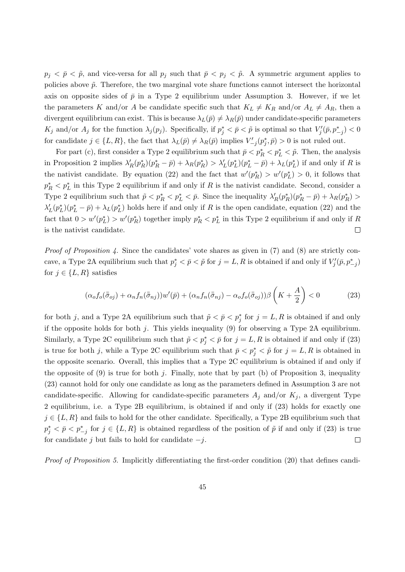$p_j < \bar{p}$ , and vice-versa for all  $p_j$  such that  $\bar{p} < p_j < \tilde{p}$ . A symmetric argument applies to policies above  $\tilde{p}$ . Therefore, the two marginal vote share functions cannot intersect the horizontal axis on opposite sides of  $\bar{p}$  in a Type 2 equilibrium under Assumption 3. However, if we let the parameters K and/or A be candidate specific such that  $K_L \neq K_R$  and/or  $A_L \neq A_R$ , then a divergent equilibrium can exist. This is because  $\lambda_L(\bar{p}) \neq \lambda_R(\bar{p})$  under candidate-specific parameters  $K_j$  and/or  $A_j$  for the function  $\lambda_j(p_j)$ . Specifically, if  $p_j^* < \bar{p} < \tilde{p}$  is optimal so that  $V'_j(\bar{p}, p_{-j}^*) < 0$ for candidate  $j \in \{L, R\}$ , the fact that  $\lambda_L(\bar{p}) \neq \lambda_R(\bar{p})$  implies  $V'_{-j}(p_j^*, \bar{p}) > 0$  is not ruled out.

For part (c), first consider a Type 2 equilibrium such that  $\bar{p} < p_R^* < p_L^* < \tilde{p}$ . Then, the analysis in Proposition 2 implies  $\lambda'_R(p_R^*)(p_R^* - \bar{p}) + \lambda_R(p_R^*) > \lambda'_L(p_L^*)(p_L^* - \bar{p}) + \lambda_L(p_L^*)$  if and only if R is the nativist candidate. By equation (22) and the fact that  $w'(p_R^*) > w'(p_L^*) > 0$ , it follows that  $p_R^* < p_L^*$  in this Type 2 equilibrium if and only if R is the nativist candidate. Second, consider a Type 2 equilibrium such that  $\tilde{p} < p_L^* < p_L^* < \bar{p}$ . Since the inequality  $\lambda'_R(p_R^*)(p_R^* - \bar{p}) + \lambda_R(p_R^*) >$  $\lambda'_L(p_L^*)(p_L^* - \bar{p}) + \lambda_L(p_L^*)$  holds here if and only if R is the open candidate, equation (22) and the fact that  $0 > w'(p_L^*) > w'(p_R^*)$  together imply  $p_R^* < p_L^*$  in this Type 2 equilibrium if and only if R is the nativist candidate.  $\Box$ 

*Proof of Proposition 4.* Since the candidates' vote shares as given in (7) and (8) are strictly concave, a Type 2A equilibrium such that  $p_j^* < \bar{p} < \tilde{p}$  for  $j = L, R$  is obtained if and only if  $V'_j(\bar{p}, p_{-j}^*)$ for  $j \in \{L, R\}$  satisfies

$$
(\alpha_o f_o(\bar{\bar{\sigma}}_{oj}) + \alpha_n f_n(\bar{\bar{\sigma}}_{nj}))w'(\bar{p}) + (\alpha_n f_n(\bar{\bar{\sigma}}_{nj}) - \alpha_o f_o(\bar{\bar{\sigma}}_{oj}))\beta\left(K + \frac{A}{2}\right) < 0
$$
 (23)

for both j, and a Type 2A equilibrium such that  $\tilde{p} < \bar{p} < p_j^*$  for  $j = L, R$  is obtained if and only if the opposite holds for both  $j$ . This yields inequality (9) for observing a Type 2A equilibrium. Similarly, a Type 2C equilibrium such that  $\tilde{p} < p_j^* < \bar{p}$  for  $j = L, R$  is obtained if and only if (23) is true for both j, while a Type 2C equilibrium such that  $\bar{p} < p_j^* < \tilde{p}$  for  $j = L, R$  is obtained in the opposite scenario. Overall, this implies that a Type 2C equilibrium is obtained if and only if the opposite of  $(9)$  is true for both j. Finally, note that by part (b) of Proposition 3, inequality (23) cannot hold for only one candidate as long as the parameters defined in Assumption 3 are not candidate-specific. Allowing for candidate-specific parameters  $A_j$  and/or  $K_j$ , a divergent Type 2 equilibrium, i.e. a Type 2B equilibrium, is obtained if and only if (23) holds for exactly one  $j \in \{L, R\}$  and fails to hold for the other candidate. Specifically, a Type 2B equilibrium such that  $p_j^* < \bar{p} < p_{-j}^*$  for  $j \in \{L, R\}$  is obtained regardless of the position of  $\tilde{p}$  if and only if (23) is true for candidate j but fails to hold for candidate  $-j$ .  $\Box$ 

Proof of Proposition 5. Implicitly differentiating the first-order condition (20) that defines candi-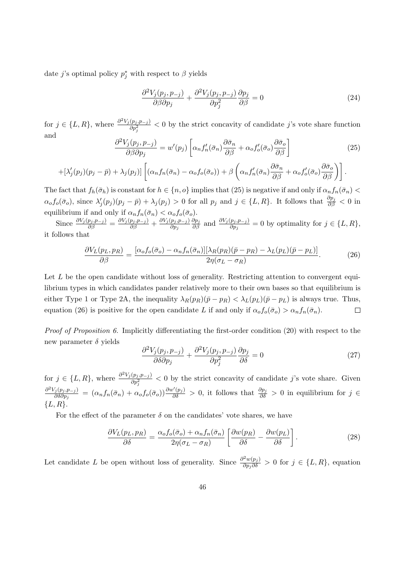date j's optimal policy  $p_j^*$  with respect to  $\beta$  yields

$$
\frac{\partial^2 V_j(p_j, p_{-j})}{\partial \beta \partial p_j} + \frac{\partial^2 V_j(p_j, p_{-j})}{\partial p_j^2} \frac{\partial p_j}{\partial \beta} = 0
$$
\n(24)

for  $j \in \{L, R\}$ , where  $\frac{\partial^2 V_j(p_j, p_{-j})}{\partial x^2}$  $\frac{(p_j, p_{-j})}{\partial p_j^2}$  < 0 by the strict concavity of candidate j's vote share function and

$$
\frac{\partial^2 V_j(p_j, p_{-j})}{\partial \beta \partial p_j} = w'(p_j) \left[ \alpha_n f'_n(\bar{\sigma}_n) \frac{\partial \bar{\sigma}_n}{\partial \beta} + \alpha_o f'_o(\bar{\sigma}_o) \frac{\partial \bar{\sigma}_o}{\partial \beta} \right]
$$
(25)

$$
+[\lambda_j'(p_j)(p_j-\bar{p})+\lambda_j(p_j)]\left[(\alpha_n f_n(\bar{\sigma}_n)-\alpha_o f_o(\bar{\sigma}_o))+\beta\left(\alpha_n f'_n(\bar{\sigma}_n)\frac{\partial \bar{\sigma}_n}{\partial \beta}+\alpha_o f'_o(\bar{\sigma}_o)\frac{\partial \bar{\sigma}_o}{\partial \beta}\right)\right].
$$

The fact that  $f_h(\bar{\sigma}_h)$  is constant for  $h \in \{n, o\}$  implies that (25) is negative if and only if  $\alpha_n f_n(\bar{\sigma}_n)$  $\alpha_o f_o(\bar{\sigma}_o)$ , since  $\lambda'_j(p_j)(p_j - \bar{p}) + \lambda_j(p_j) > 0$  for all  $p_j$  and  $j \in \{L, R\}$ . It follows that  $\frac{\partial p_j}{\partial \beta} < 0$  in equilibrium if and only if  $\alpha_n f_n(\bar{\sigma}_n) < \alpha_o f_o(\bar{\sigma}_o)$ .

Since  $\frac{\partial V_j(p_j, p_{-j})}{\partial \beta} = \frac{\partial V_j(p_j, p_{-j})}{\partial \beta} + \frac{\partial V_j(p_j, p_{-j})}{\partial p_j}$  $\partial p_j$  $\frac{\partial p_j}{\partial \beta}$  and  $\frac{\partial V_j(p_j, p_{-j})}{\partial p_j} = 0$  by optimality for  $j \in \{L, R\},$ it follows that

$$
\frac{\partial V_L(p_L, p_R)}{\partial \beta} = \frac{[\alpha_o f_o(\bar{\sigma}_o) - \alpha_n f_n(\bar{\sigma}_n)][\lambda_R(p_R)(\bar{p} - p_R) - \lambda_L(p_L)(\bar{p} - p_L)]}{2\eta(\sigma_L - \sigma_R)}.
$$
(26)

Let L be the open candidate without loss of generality. Restricting attention to convergent equilibrium types in which candidates pander relatively more to their own bases so that equilibrium is either Type 1 or Type 2A, the inequality  $\lambda_R(p_R)(\bar{p}-p_R) < \lambda_L(p_L)(\bar{p}-p_L)$  is always true. Thus, equation (26) is positive for the open candidate L if and only if  $\alpha_o f_o(\bar{\sigma}_o) > \alpha_n f_n(\bar{\sigma}_n)$ .  $\Box$ 

Proof of Proposition 6. Implicitly differentiating the first-order condition (20) with respect to the new parameter  $\delta$  yields

$$
\frac{\partial^2 V_j(p_j, p_{-j})}{\partial \delta \partial p_j} + \frac{\partial^2 V_j(p_j, p_{-j})}{\partial p_j^2} \frac{\partial p_j}{\partial \delta} = 0
$$
\n(27)

for  $j \in \{L, R\}$ , where  $\frac{\partial^2 V_j(p_j, p_{-j})}{\partial r^2}$  $\frac{(p_j, p_{-j})}{\partial p_j^2}$  < 0 by the strict concavity of candidate j's vote share. Given  $\partial^2 V_j(p_j,p_{-j})$  $\frac{\partial^{\sigma}(p_j, p_{-j})}{\partial \delta \partial p_j} = (\alpha_n f_n(\bar{\sigma}_n) + \alpha_o f_o(\bar{\sigma}_o)) \frac{\partial w'(p_j)}{\partial \delta} > 0$ , it follows that  $\frac{\partial p_j}{\partial \delta} > 0$  in equilibrium for  $j \in \mathbb{Z}$  ${L, R}.$ 

For the effect of the parameter  $\delta$  on the candidates' vote shares, we have

$$
\frac{\partial V_L(p_L, p_R)}{\partial \delta} = \frac{\alpha_o f_o(\bar{\sigma}_o) + \alpha_n f_n(\bar{\sigma}_n)}{2\eta(\sigma_L - \sigma_R)} \left[ \frac{\partial w(p_R)}{\partial \delta} - \frac{\partial w(p_L)}{\partial \delta} \right].
$$
\n(28)

Let candidate L be open without loss of generality. Since  $\frac{\partial^2 w(p_j)}{\partial p_j \partial \delta} > 0$  for  $j \in \{L, R\}$ , equation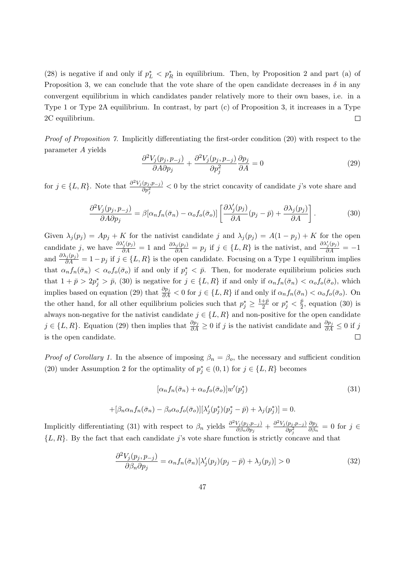(28) is negative if and only if  $p_L^* < p_R^*$  in equilibrium. Then, by Proposition 2 and part (a) of Proposition 3, we can conclude that the vote share of the open candidate decreases in  $\delta$  in any convergent equilibrium in which candidates pander relatively more to their own bases, i.e. in a Type 1 or Type 2A equilibrium. In contrast, by part (c) of Proposition 3, it increases in a Type 2C equilibrium.  $\Box$ 

Proof of Proposition 7. Implicitly differentiating the first-order condition (20) with respect to the parameter A yields

$$
\frac{\partial^2 V_j(p_j, p_{-j})}{\partial A \partial p_j} + \frac{\partial^2 V_j(p_j, p_{-j})}{\partial p_j^2} \frac{\partial p_j}{\partial A} = 0
$$
\n(29)

for  $j \in \{L, R\}$ . Note that  $\frac{\partial^2 V_j(p_j, p_{-j})}{\partial x^2}$  $\frac{(p_j, p_{-j})}{\partial p_j^2}$  < 0 by the strict concavity of candidate j's vote share and

$$
\frac{\partial^2 V_j(p_j, p_{-j})}{\partial A \partial p_j} = \beta [\alpha_n f_n(\bar{\sigma}_n) - \alpha_o f_o(\bar{\sigma}_o)] \left[ \frac{\partial \lambda_j'(p_j)}{\partial A}(p_j - \bar{p}) + \frac{\partial \lambda_j(p_j)}{\partial A} \right].
$$
 (30)

Given  $\lambda_j(p_j) = Ap_j + K$  for the nativist candidate j and  $\lambda_j(p_j) = A(1 - p_j) + K$  for the open candidate j, we have  $\frac{\partial \lambda'_j(p_j)}{\partial A} = 1$  and  $\frac{\partial \lambda_j(p_j)}{\partial A} = p_j$  if  $j \in \{L, R\}$  is the nativist, and  $\frac{\partial \lambda'_j(p_j)}{\partial A} = -1$ and  $\frac{\partial \lambda_j(p_j)}{\partial A} = 1 - p_j$  if  $j \in \{L, R\}$  is the open candidate. Focusing on a Type 1 equilibrium implies that  $\alpha_n f_n(\bar{\sigma}_n) < \alpha_o f_o(\bar{\sigma}_o)$  if and only if  $p_j^* < \bar{p}$ . Then, for moderate equilibrium policies such that  $1 + \bar{p} > 2p_j^* > \bar{p}$ , (30) is negative for  $j \in \{L, R\}$  if and only if  $\alpha_n f_n(\bar{\sigma}_n) < \alpha_o f_o(\bar{\sigma}_o)$ , which implies based on equation (29) that  $\frac{\partial p_j}{\partial A} < 0$  for  $j \in \{L, R\}$  if and only if  $\alpha_n f_n(\bar{\sigma}_n) < \alpha_o f_o(\bar{\sigma}_o)$ . On the other hand, for all other equilibrium policies such that  $p_j^* \geq \frac{1+\bar{p}}{2}$  $\frac{+\bar{p}}{2}$  or  $p_j^* < \frac{\bar{p}}{2}$  $\frac{p}{2}$ , equation (30) is always non-negative for the nativist candidate  $j \in \{L, R\}$  and non-positive for the open candidate  $j \in \{L, R\}$ . Equation (29) then implies that  $\frac{\partial p_j}{\partial A} \ge 0$  if j is the nativist candidate and  $\frac{\partial p_j}{\partial A} \le 0$  if j is the open candidate.  $\Box$ 

*Proof of Corollary 1.* In the absence of imposing  $\beta_n = \beta_o$ , the necessary and sufficient condition (20) under Assumption 2 for the optimality of  $p_j^* \in (0,1)$  for  $j \in \{L, R\}$  becomes

$$
[\alpha_n f_n(\bar{\sigma}_n) + \alpha_o f_o(\bar{\sigma}_o)] w'(p_j^*)
$$
\n(31)

$$
+[\beta_n \alpha_n f_n(\bar{\sigma}_n) - \beta_o \alpha_o f_o(\bar{\sigma}_o)][\lambda'_j(p_j^*)(p_j^* - \bar{p}) + \lambda_j(p_j^*)] = 0.
$$

Implicitly differentiating (31) with respect to  $\beta_n$  yields  $\frac{\partial^2 V_j(p_j, p_{-j})}{\partial \beta_n \partial p_j}$  $\frac{V_j(p_j, p_{-j})}{\partial \beta_n \partial p_j} + \frac{\partial^2 V_j(p_j, p_{-j})}{\partial p_i^2}$  $\partial p_j^2$  $\partial p_j$  $\frac{\partial p_j}{\partial \beta_n} = 0$  for  $j \in$  $\{L, R\}$ . By the fact that each candidate j's vote share function is strictly concave and that

$$
\frac{\partial^2 V_j(p_j, p_{-j})}{\partial \beta_n \partial p_j} = \alpha_n f_n(\bar{\sigma}_n) [\lambda_j'(p_j)(p_j - \bar{p}) + \lambda_j(p_j)] > 0
$$
\n(32)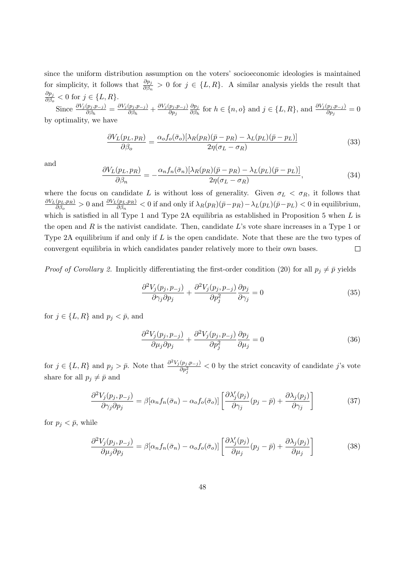since the uniform distribution assumption on the voters' socioeconomic ideologies is maintained for simplicity, it follows that  $\frac{\partial p_j}{\partial \beta_n} > 0$  for  $j \in \{L, R\}$ . A similar analysis yields the result that  $\partial p_j$  $\frac{\partial p_j}{\partial \beta_o} < 0$  for  $j \in \{L, R\}.$ 

Since  $\frac{\partial V_j(p_j, p_{-j})}{\partial \beta_h} = \frac{\partial V_j(p_j, p_{-j})}{\partial \beta_h}$  $\frac{\partial (p_j, p_{-j})}{\partial \beta_h} + \frac{\partial V_j(p_j, p_{-j})}{\partial p_j}$ ∂p<sup>j</sup>  $\partial p_j$  $\frac{\partial p_j}{\partial \beta_h}$  for  $h \in \{n, o\}$  and  $j \in \{L, R\}$ , and  $\frac{\partial V_j(p_j, p_{-j})}{\partial p_j} = 0$ by optimality, we have

$$
\frac{\partial V_L(p_L, p_R)}{\partial \beta_o} = \frac{\alpha_o f_o(\bar{\sigma}_o) [\lambda_R(p_R)(\bar{p} - p_R) - \lambda_L(p_L)(\bar{p} - p_L)]}{2\eta(\sigma_L - \sigma_R)}\tag{33}
$$

and

$$
\frac{\partial V_L(p_L, p_R)}{\partial \beta_n} = -\frac{\alpha_n f_n(\bar{\sigma}_n)[\lambda_R(p_R)(\bar{p} - p_R) - \lambda_L(p_L)(\bar{p} - p_L)]}{2\eta(\sigma_L - \sigma_R)},\tag{34}
$$

where the focus on candidate L is without loss of generality. Given  $\sigma_L < \sigma_R$ , it follows that  $\partial V_L(p_L,p_R)$  $\frac{(p_L, p_R)}{\partial \beta_o} > 0$  and  $\frac{\partial V_L(p_L, p_R)}{\partial \beta_n} < 0$  if and only if  $\lambda_R(p_R)(\bar{p}-p_R) - \lambda_L(p_L)(\bar{p}-p_L) < 0$  in equilibrium, which is satisfied in all Type 1 and Type 2A equilibria as established in Proposition 5 when  $L$  is the open and  $R$  is the nativist candidate. Then, candidate  $L$ 's vote share increases in a Type 1 or Type 2A equilibrium if and only if  $L$  is the open candidate. Note that these are the two types of convergent equilibria in which candidates pander relatively more to their own bases.  $\Box$ 

*Proof of Corollary 2.* Implicitly differentiating the first-order condition (20) for all  $p_j \neq \overline{p}$  yields

$$
\frac{\partial^2 V_j(p_j, p_{-j})}{\partial \gamma_j \partial p_j} + \frac{\partial^2 V_j(p_j, p_{-j})}{\partial p_j^2} \frac{\partial p_j}{\partial \gamma_j} = 0
$$
\n(35)

for  $j \in \{L, R\}$  and  $p_j < \bar{p}$ , and

$$
\frac{\partial^2 V_j(p_j, p_{-j})}{\partial \mu_j \partial p_j} + \frac{\partial^2 V_j(p_j, p_{-j})}{\partial p_j^2} \frac{\partial p_j}{\partial \mu_j} = 0
$$
\n(36)

for  $j \in \{L, R\}$  and  $p_j > \bar{p}$ . Note that  $\frac{\partial^2 V_j(p_j, p_{-j})}{\partial n^2}$  $\frac{(p_j, p_{-j})}{\partial p_j^2}$  < 0 by the strict concavity of candidate j's vote share for all  $p_i \neq \bar{p}$  and

$$
\frac{\partial^2 V_j(p_j, p_{-j})}{\partial \gamma_j \partial p_j} = \beta [\alpha_n f_n(\bar{\sigma}_n) - \alpha_o f_o(\bar{\sigma}_o)] \left[ \frac{\partial \lambda_j'(p_j)}{\partial \gamma_j}(p_j - \bar{p}) + \frac{\partial \lambda_j(p_j)}{\partial \gamma_j} \right]
$$
(37)

for  $p_i < \bar{p}$ , while

$$
\frac{\partial^2 V_j(p_j, p_{-j})}{\partial \mu_j \partial p_j} = \beta [\alpha_n f_n(\bar{\sigma}_n) - \alpha_o f_o(\bar{\sigma}_o)] \left[ \frac{\partial \lambda_j'(p_j)}{\partial \mu_j}(p_j - \bar{p}) + \frac{\partial \lambda_j(p_j)}{\partial \mu_j} \right]
$$
(38)